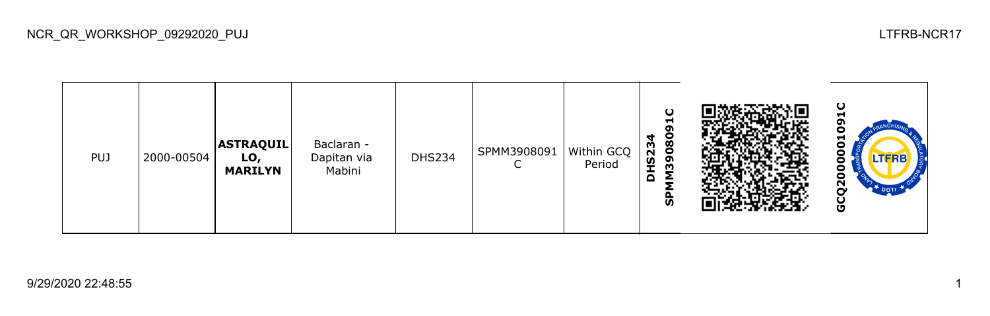

NCR\_QR\_WORKSHOP\_09292020\_PUJ LTFRB-NCR17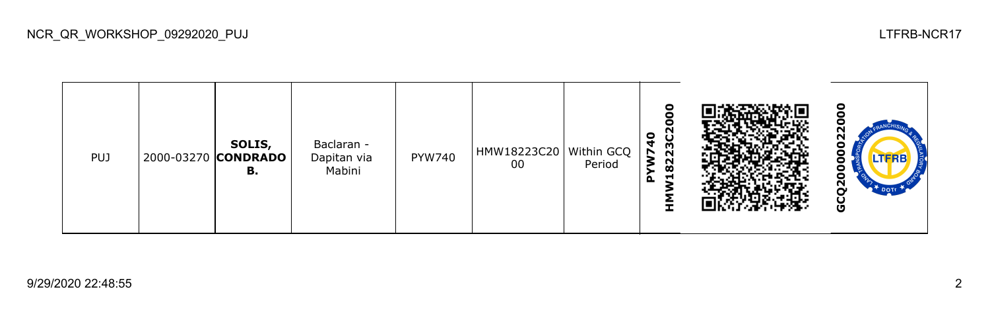| <b>PUJ</b> |  | SOLIS,<br>2000-03270 CONDRADO<br>в. | Baclaran -<br>Dapitan via<br>Mabini | PYW740 | HMW18223C20   Within GCQ<br>00 | Period | o<br>0<br>ပ<br>23<br>Š<br>N<br>$\boldsymbol{\infty}$<br>⊣<br>മ |  | o<br>N<br>N<br>o<br>N<br>∼<br>Ū |
|------------|--|-------------------------------------|-------------------------------------|--------|--------------------------------|--------|----------------------------------------------------------------|--|---------------------------------|
|------------|--|-------------------------------------|-------------------------------------|--------|--------------------------------|--------|----------------------------------------------------------------|--|---------------------------------|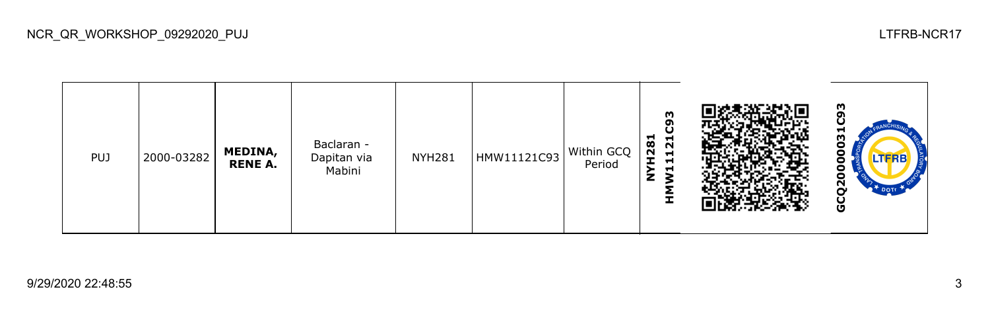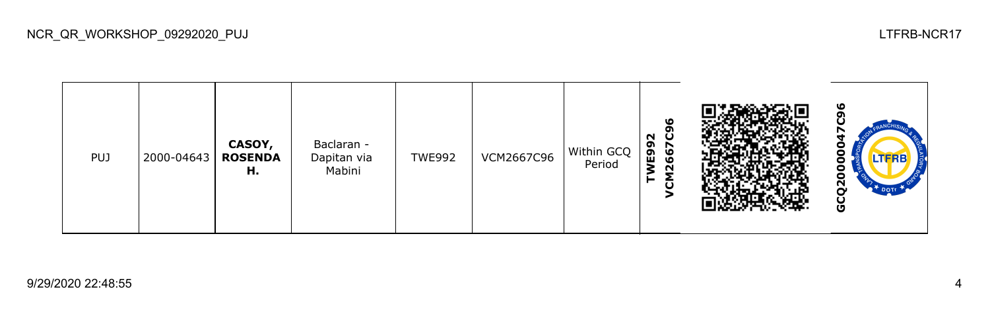| <b>PUJ</b> | 2000-04643 | CASOY,<br><b>ROSENDA</b><br>н. | Baclaran -<br>Dapitan via<br>Mabini | <b>TWE992</b> | VCM2667C96 | Within GCQ<br>Period | ١O<br>o<br>ပ<br>92<br>E99<br>667<br>$\sim$<br>≂<br>← |  | ഥ<br>LTERB<br>$\mathbf{z}$<br>O |
|------------|------------|--------------------------------|-------------------------------------|---------------|------------|----------------------|------------------------------------------------------|--|---------------------------------|
|------------|------------|--------------------------------|-------------------------------------|---------------|------------|----------------------|------------------------------------------------------|--|---------------------------------|

NCR\_QR\_WORKSHOP\_09292020\_PUJ LTFRB-NCR17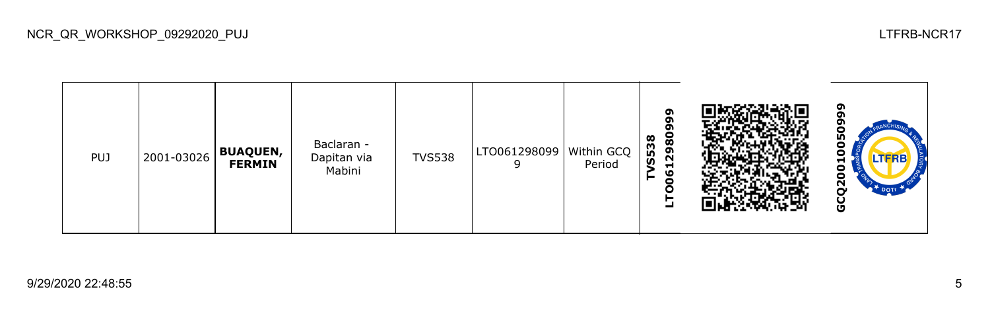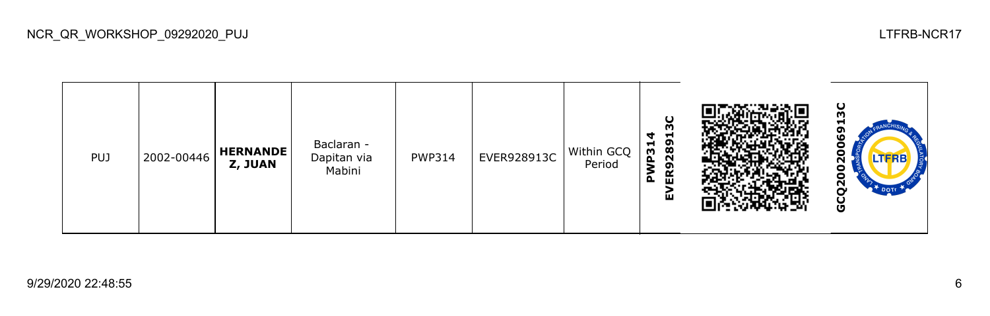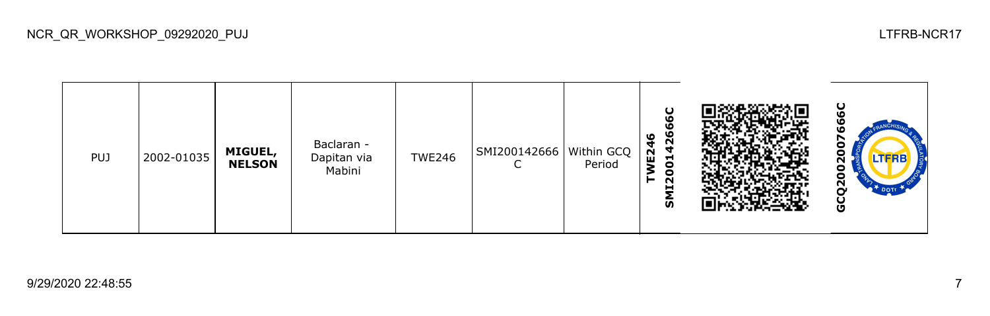| <b>PUJ</b> | 2002-01035 | MIGUEL,<br><b>NELSON</b> | Baclaran -<br>Dapitan via<br>Mabini | <b>TWE246</b> | SMI200142666   Within GCQ | Period | O<br>426<br>o<br>$\mathbf{5}$<br>⊣<br>ο<br><b>DZ11</b><br><b>S</b> |  | Ο<br>с<br>LTERE<br>с<br>N<br>O |
|------------|------------|--------------------------|-------------------------------------|---------------|---------------------------|--------|--------------------------------------------------------------------|--|--------------------------------|
|------------|------------|--------------------------|-------------------------------------|---------------|---------------------------|--------|--------------------------------------------------------------------|--|--------------------------------|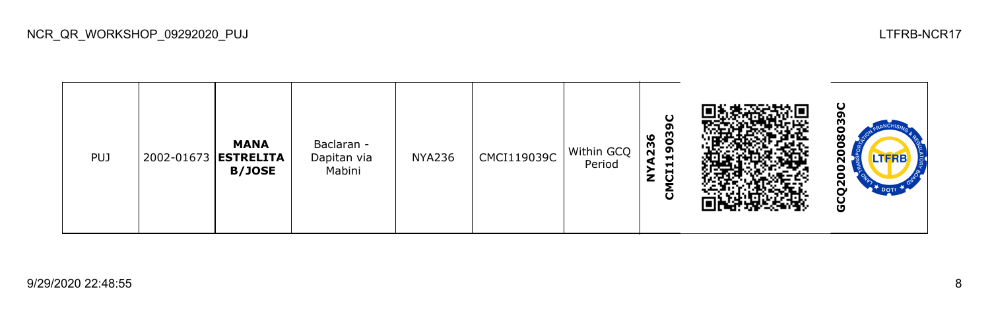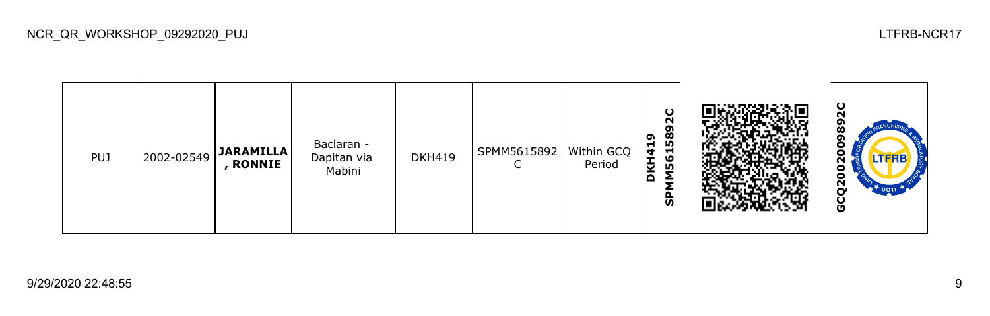

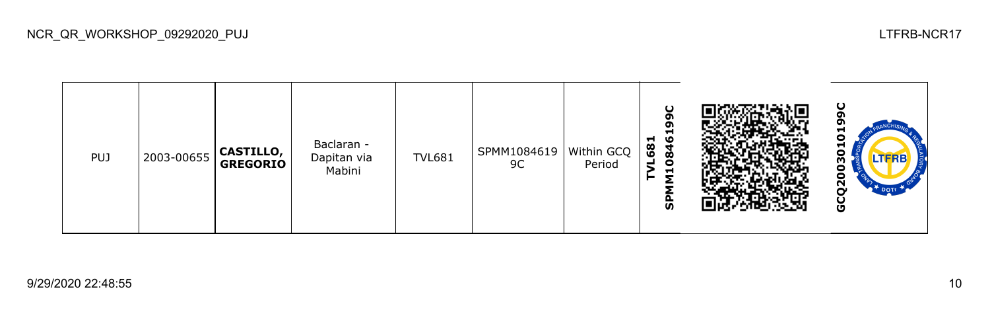| <b>PUJ</b> | 2003-00655 | CASTILLO,<br><b>GREGORIO</b> | Baclaran -<br>Dapitan via<br>Mabini | <b>TVL681</b> | SPMM1084619<br>9C | Within GCQ<br>Period | ω<br>o<br>п<br>ဖ<br>−<br>68<br>◥<br>œ<br>$\bullet$<br>−<br>≂<br><b>S</b> |  | −<br>−<br>o<br>ო<br>с<br>N<br>O |
|------------|------------|------------------------------|-------------------------------------|---------------|-------------------|----------------------|--------------------------------------------------------------------------|--|---------------------------------|
|------------|------------|------------------------------|-------------------------------------|---------------|-------------------|----------------------|--------------------------------------------------------------------------|--|---------------------------------|

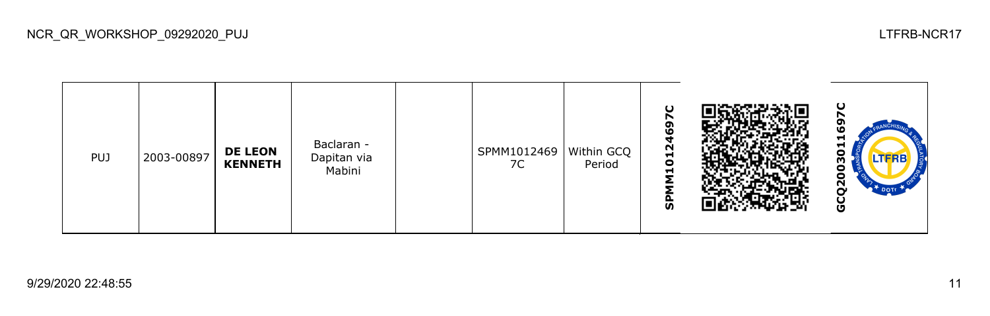| PUJ | 2003-00897 | <b>DE LEON</b><br><b>KENNETH</b> | Baclaran -<br>Dapitan via<br>Mabini |  | SPMM1012469<br>7C | Within GCQ<br>Period | Ο<br>r<br>თ<br>١O<br>012<br>$\blacksquare$<br>≂<br>o.<br><b>S</b> |  | ပ<br>−<br>⊣<br>o<br>m<br>о<br>$\mathbf{z}$<br>U<br>O |
|-----|------------|----------------------------------|-------------------------------------|--|-------------------|----------------------|-------------------------------------------------------------------|--|------------------------------------------------------|
|-----|------------|----------------------------------|-------------------------------------|--|-------------------|----------------------|-------------------------------------------------------------------|--|------------------------------------------------------|

NCR\_QR\_WORKSHOP\_09292020\_PUJ LTFRB-NCR17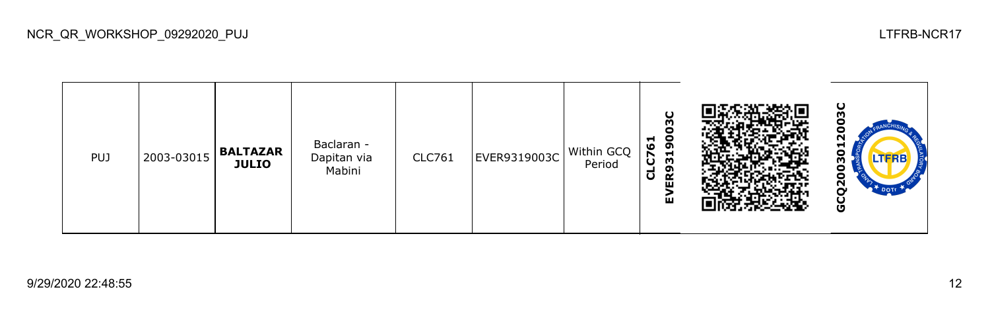

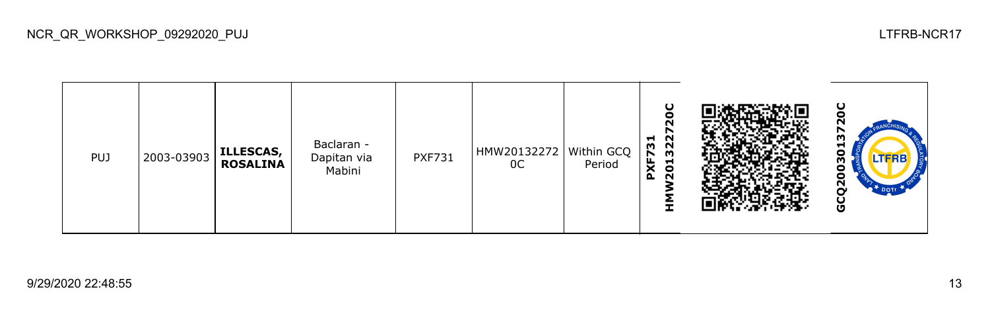

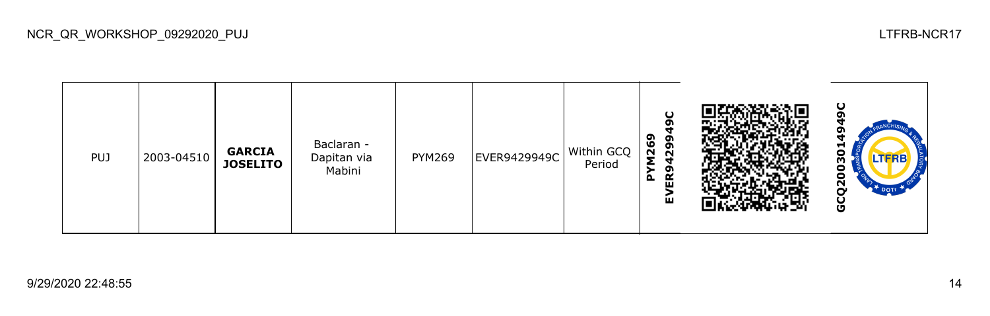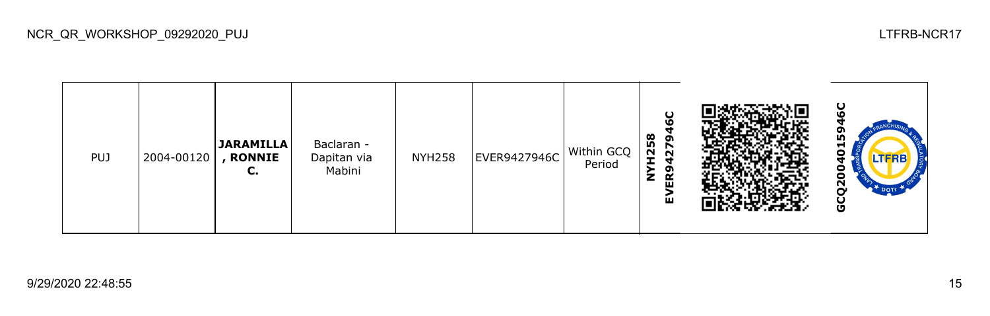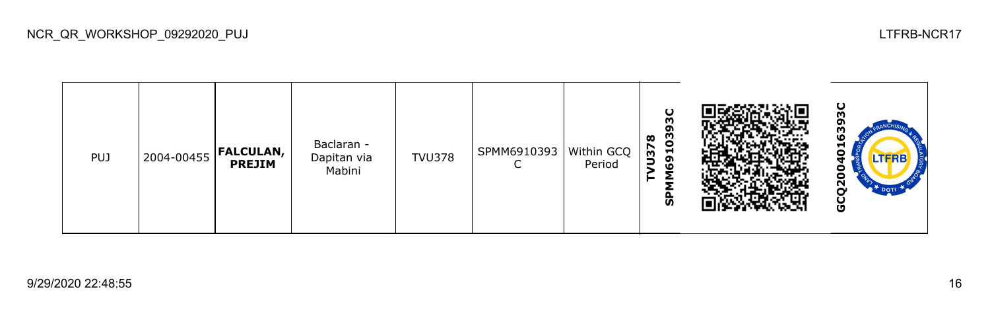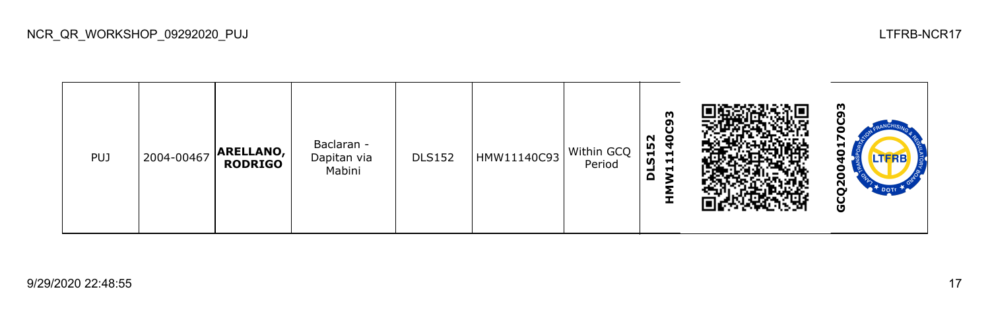

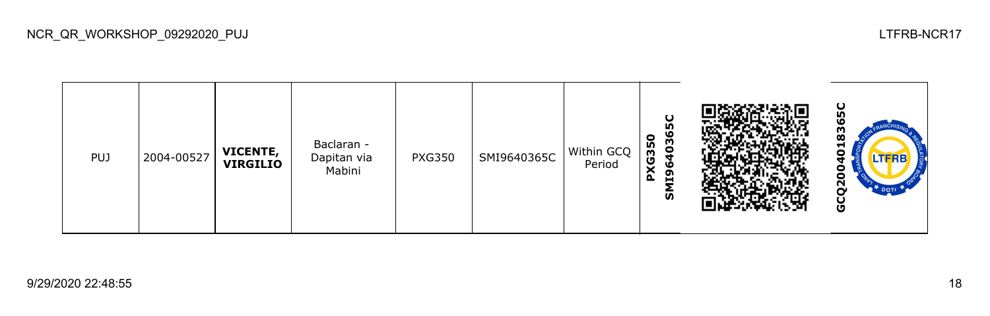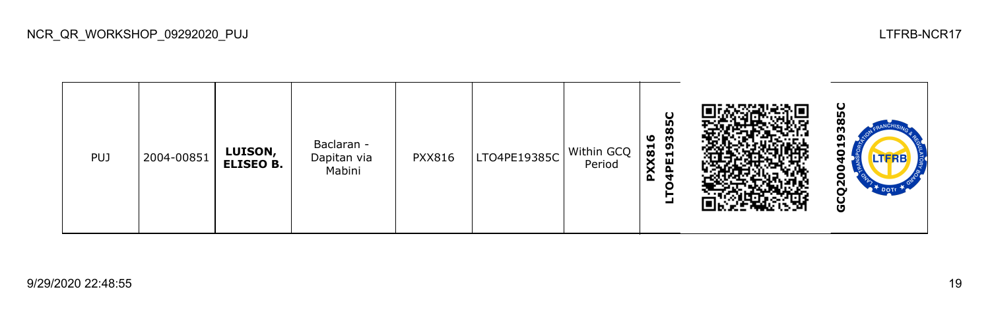

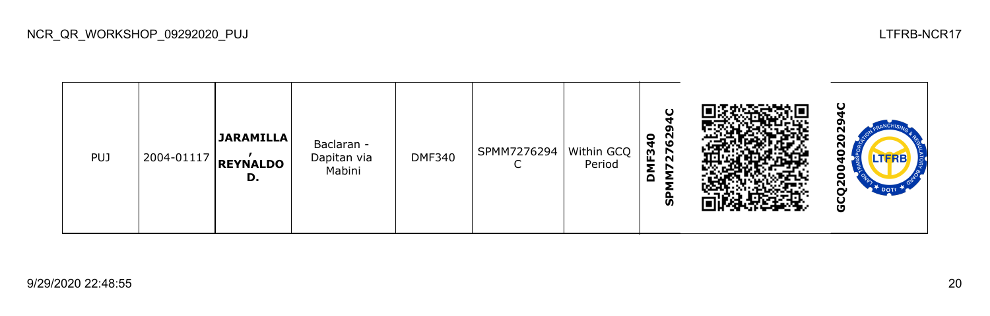

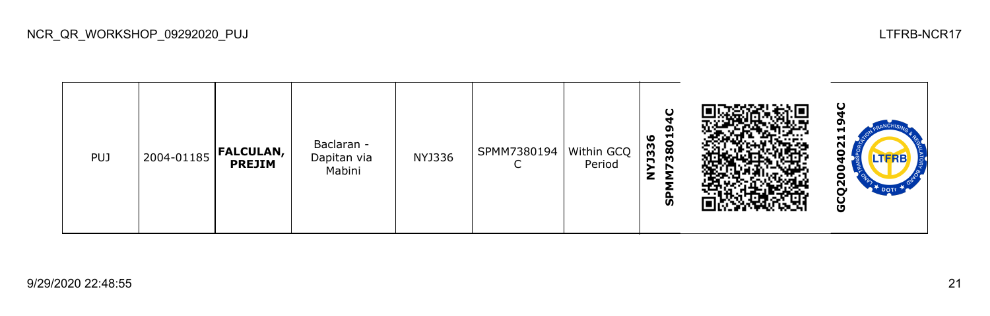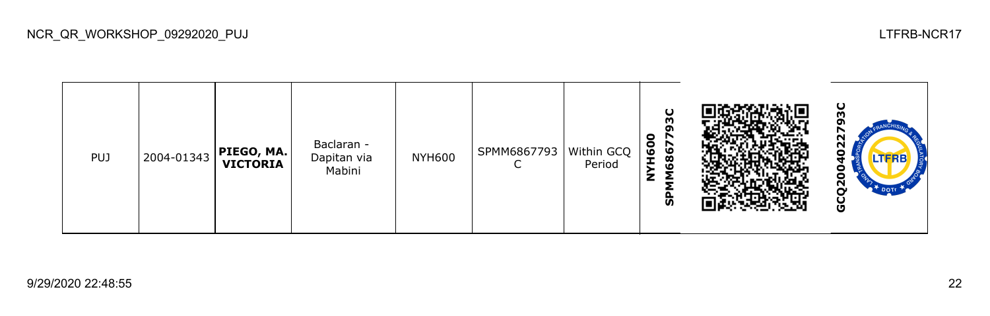| <b>PUJ</b> | 2004-01343 | PIEGO, MA. <br>  VICTORIA | Baclaran -<br>Dapitan via<br>Mabini | <b>NYH600</b> | SPMM6867793 | Within GCQ<br>Period | Ο<br>ო<br>œ<br>$\bullet$<br>r<br>H <sub>6</sub> O<br>6867<br>Σ<br>z<br>င္ဟ |  | ပ<br>w<br>ึ<br>N<br>o<br>N<br>O |
|------------|------------|---------------------------|-------------------------------------|---------------|-------------|----------------------|----------------------------------------------------------------------------|--|---------------------------------|
|------------|------------|---------------------------|-------------------------------------|---------------|-------------|----------------------|----------------------------------------------------------------------------|--|---------------------------------|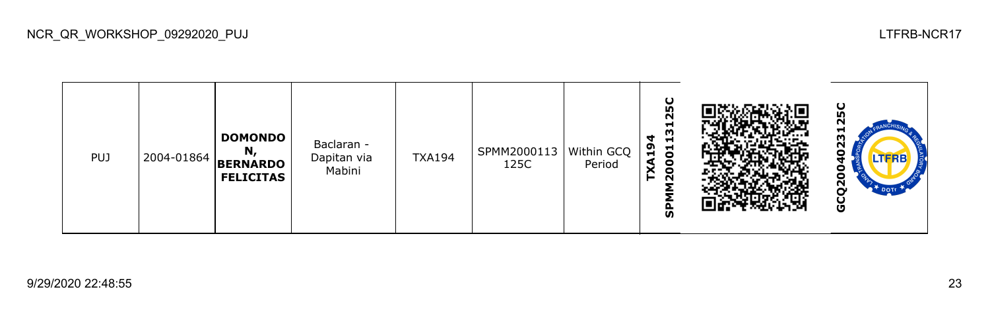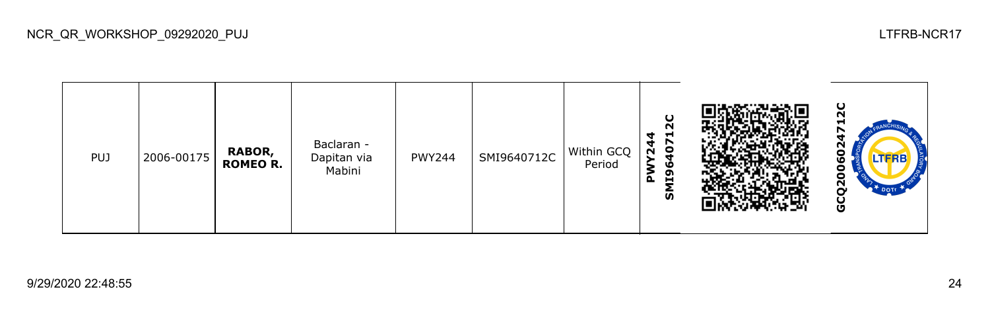

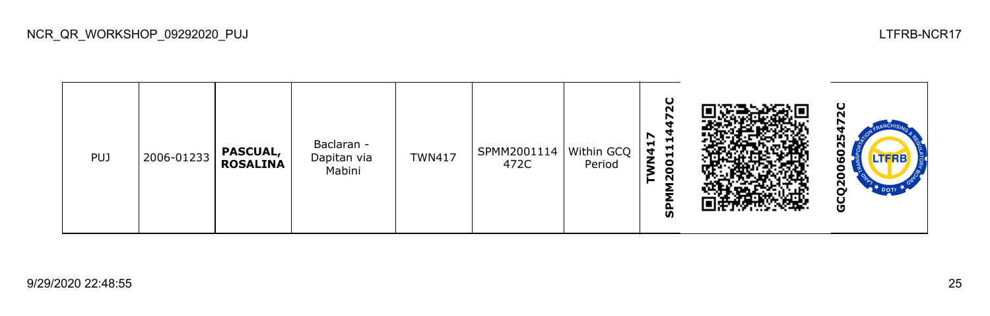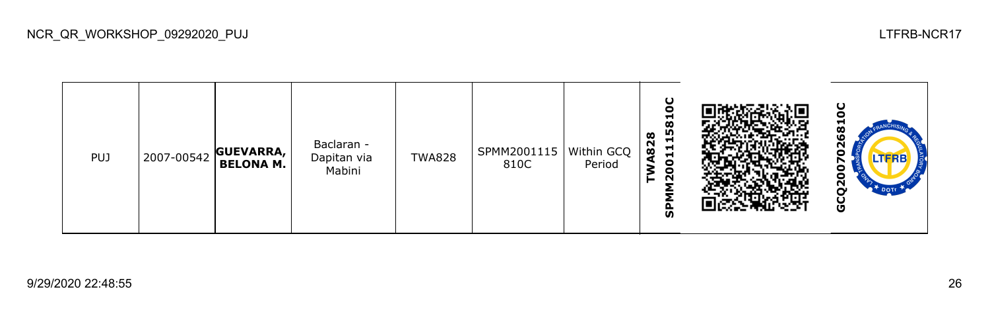

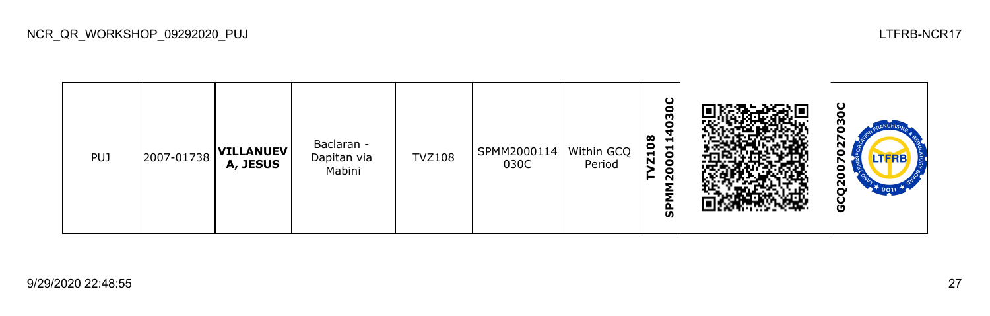

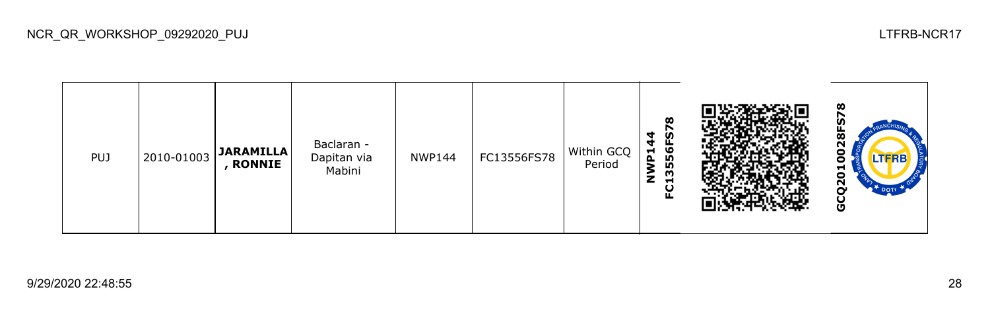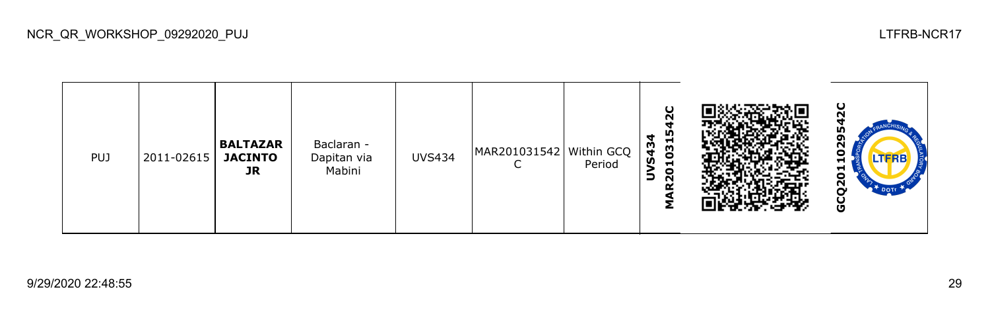| <b>PUJ</b> | 2011-02615 | <b>BALTAZAR</b><br><b>JACINTO</b><br>JR | Baclaran -<br>Dapitan via<br>Mabini | <b>UVS434</b> | MAR201031542   Within GCQ | Period | O<br>$\sim$<br>m<br>4<br>1031<br><b>S43</b><br>$\bullet$<br>$\Rightarrow$<br>$\sim$ |  | ပ<br>m<br>oı<br>ี<br>o<br>LTFRB<br>▬<br>ដ<br>$\tilde{\mathbf{z}}$<br>DOTT<br>U |
|------------|------------|-----------------------------------------|-------------------------------------|---------------|---------------------------|--------|-------------------------------------------------------------------------------------|--|--------------------------------------------------------------------------------|
|------------|------------|-----------------------------------------|-------------------------------------|---------------|---------------------------|--------|-------------------------------------------------------------------------------------|--|--------------------------------------------------------------------------------|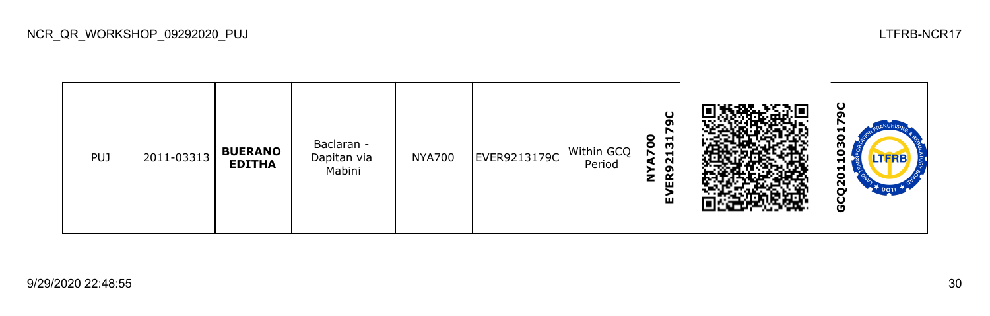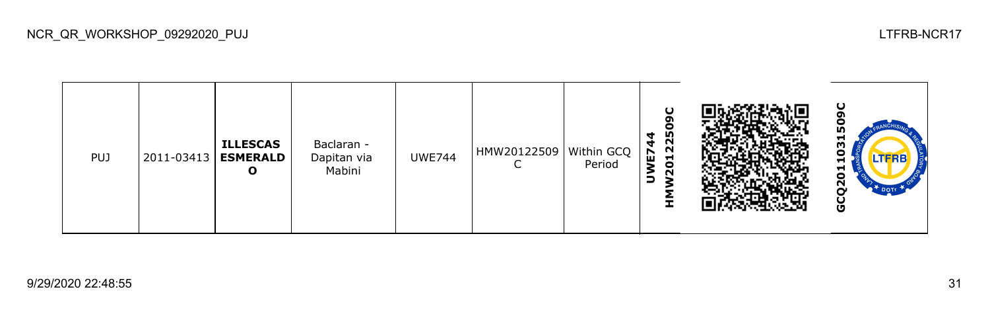| <b>PUJ</b> | 2011-03413 | <b>ILLESCAS</b><br><b>ESMERALD</b><br>O | Baclaran -<br>Dapitan via<br>Mabini | <b>UWE744</b> | HMW20122509   Within GCQ | Period | O<br>o<br>о<br>225<br>ч<br>$\bf{E}$<br>$\overline{5}$<br>$\sim$<br>∍<br><b>.</b> |  | ပ<br>oı<br><b>In</b><br>−<br>w<br>о<br><b>LTFRB</b><br>−<br>⊣<br>o<br>$\bar{\mathbf{S}}$<br>O |
|------------|------------|-----------------------------------------|-------------------------------------|---------------|--------------------------|--------|----------------------------------------------------------------------------------|--|-----------------------------------------------------------------------------------------------|
|------------|------------|-----------------------------------------|-------------------------------------|---------------|--------------------------|--------|----------------------------------------------------------------------------------|--|-----------------------------------------------------------------------------------------------|

NCR\_QR\_WORKSHOP\_09292020\_PUJ LTFRB-NCR17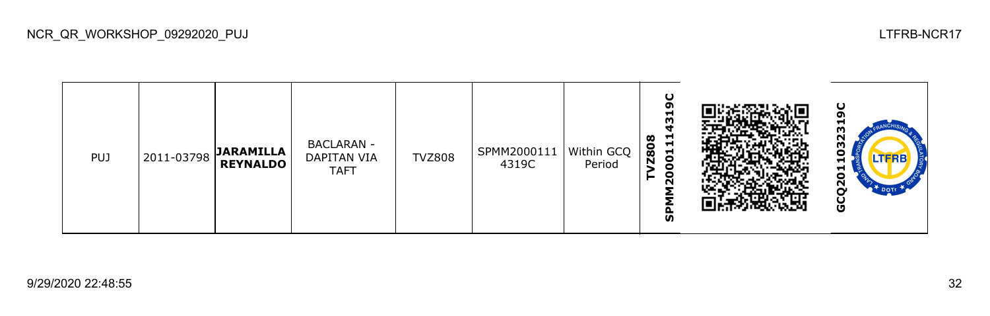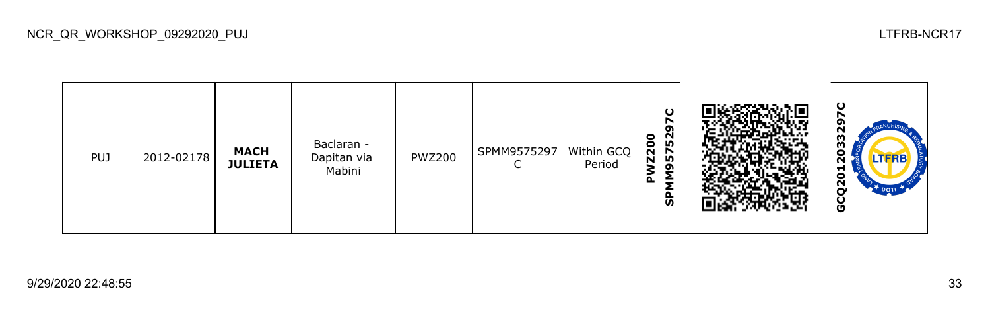

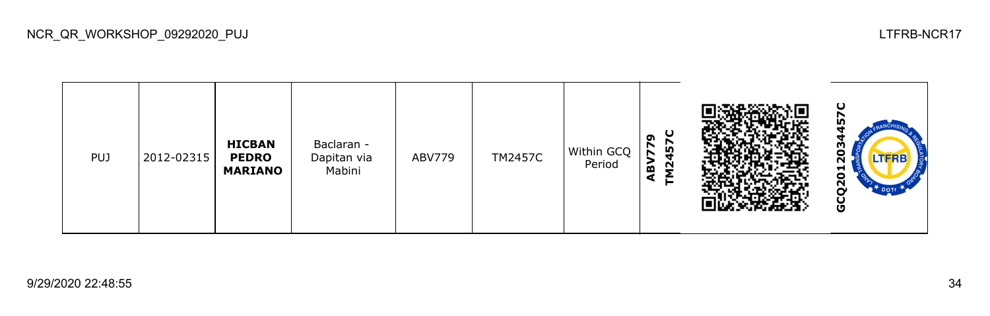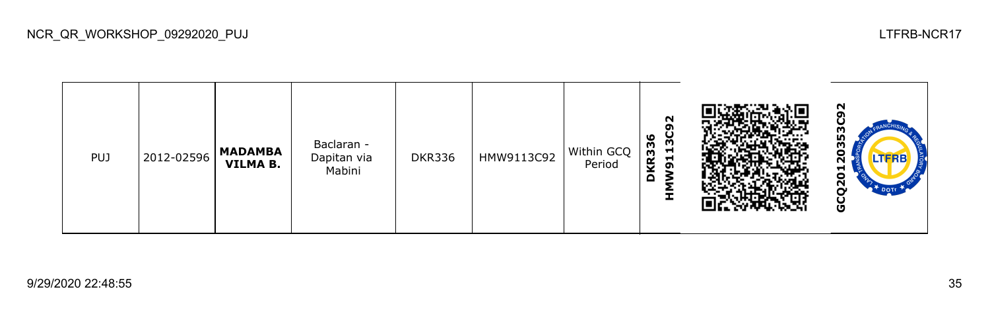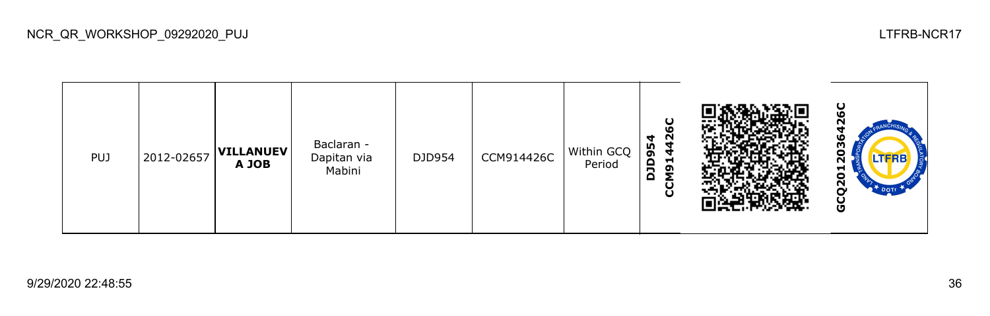

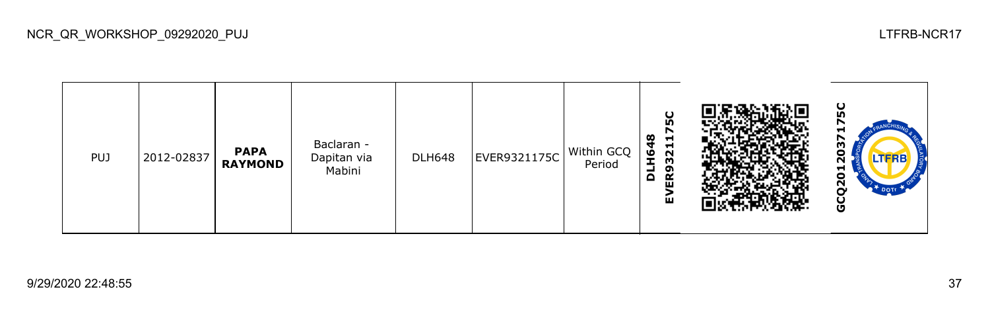

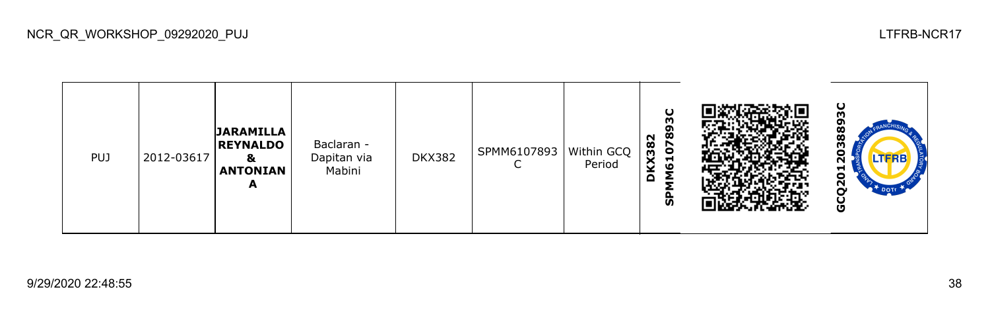| PUJ | 2012-03617 | <b>JARAMILLA</b><br><b>REYNALDO</b><br>&<br><b>ANTONIAN</b><br>A | Baclaran -<br>Dapitan via<br>Mabini | <b>DKX382</b> | SPMM6107893   Within GCQ | Period | O<br>m<br>σ<br>စ္တ<br>KX382<br><b>G</b><br>M61<br>Q<br>ჭ |  | ပ<br>ğ٥<br>œ<br>w<br>o<br><b>LTFRB</b><br>ี<br>⊣<br>o<br>$\mathbf{z}$<br>DOTT<br>O |
|-----|------------|------------------------------------------------------------------|-------------------------------------|---------------|--------------------------|--------|----------------------------------------------------------|--|------------------------------------------------------------------------------------|
|-----|------------|------------------------------------------------------------------|-------------------------------------|---------------|--------------------------|--------|----------------------------------------------------------|--|------------------------------------------------------------------------------------|

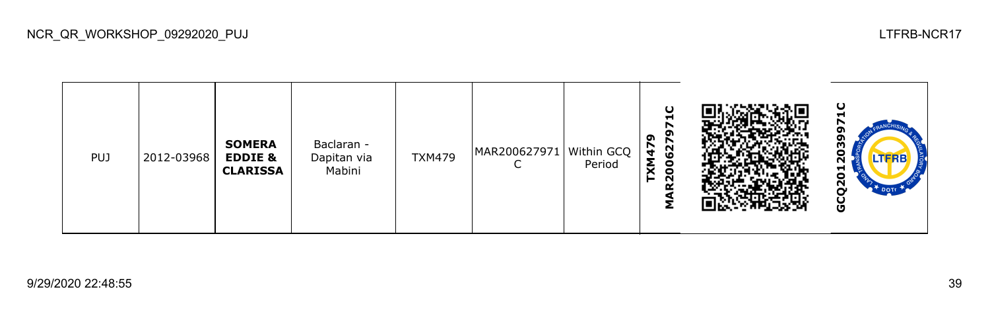| <b>PUJ</b> | 2012-03968 | <b>SOMERA</b><br><b>EDDIE &amp;</b><br><b>CLARISSA</b> | Baclaran -<br>Dapitan via<br>Mabini | <b>TXM479</b> | MAR200627971   Within GCQ | Period | O<br>−<br>o<br>െ<br>r<br><b>G2</b><br>t,<br>ξ<br>8<br>$\sim$<br>Q |  | ပ<br>H<br>o<br>w<br><b>THRD</b><br>5<br>$\overline{2}$<br>DOTE<br>မ္ပ |
|------------|------------|--------------------------------------------------------|-------------------------------------|---------------|---------------------------|--------|-------------------------------------------------------------------|--|-----------------------------------------------------------------------|
|------------|------------|--------------------------------------------------------|-------------------------------------|---------------|---------------------------|--------|-------------------------------------------------------------------|--|-----------------------------------------------------------------------|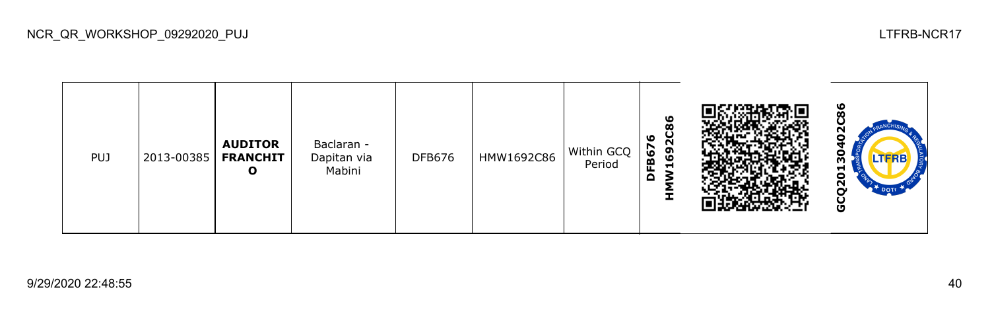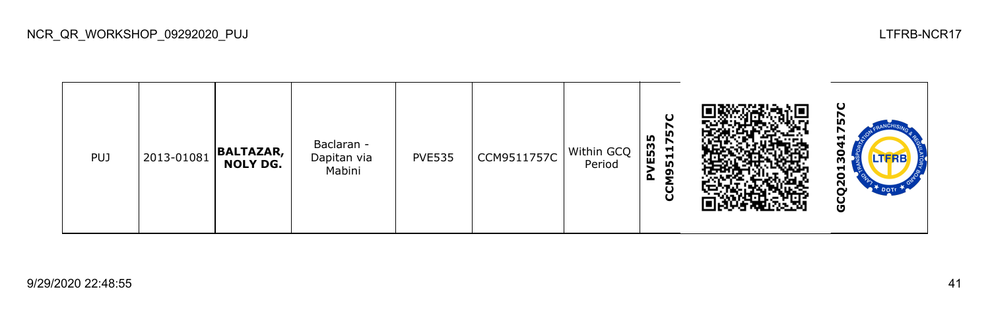

NCR\_QR\_WORKSHOP\_09292020\_PUJ LTFRB-NCR17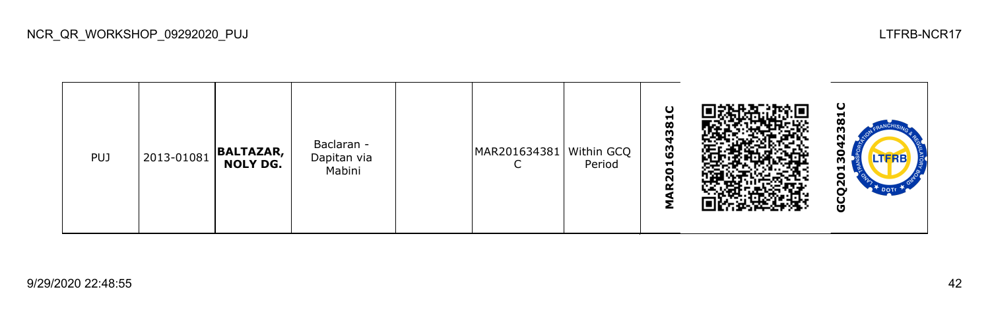| <b>PUJ</b> | 2013-01081 | BALTAZAR, | Baclaran -<br>Dapitan via<br>Mabini |  | MAR201634381   Within GCQ | Period | ပ<br>381<br>ч<br>ဇ္ဗ<br>$\blacksquare$<br>$\bullet$<br>N |  | ပ<br>H.<br>œ<br>N<br>леке<br>−<br>0<br>$\mathbf{z}$<br>DOT<br>O |
|------------|------------|-----------|-------------------------------------|--|---------------------------|--------|----------------------------------------------------------|--|-----------------------------------------------------------------|
|------------|------------|-----------|-------------------------------------|--|---------------------------|--------|----------------------------------------------------------|--|-----------------------------------------------------------------|

NCR\_QR\_WORKSHOP\_09292020\_PUJ LTFRB-NCR17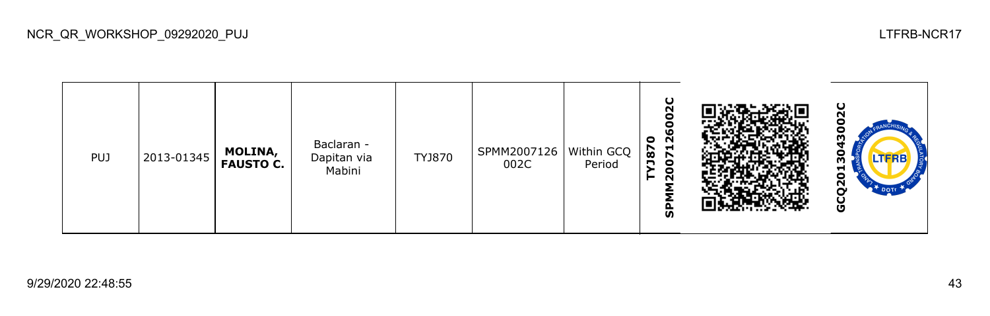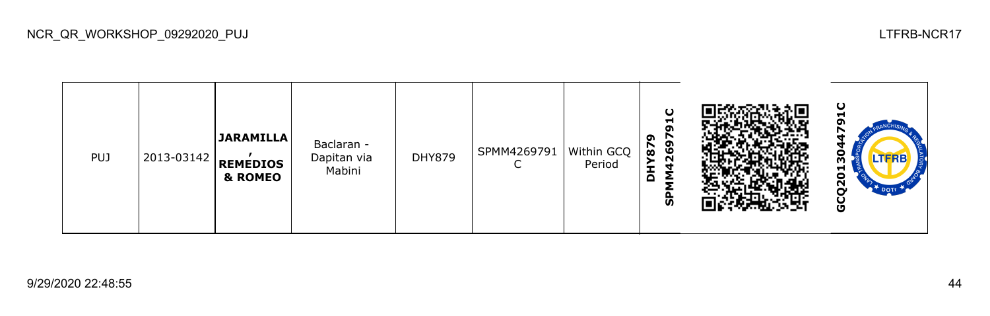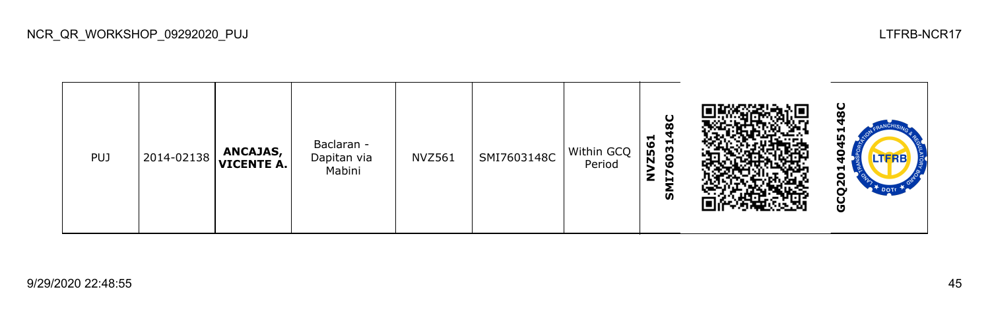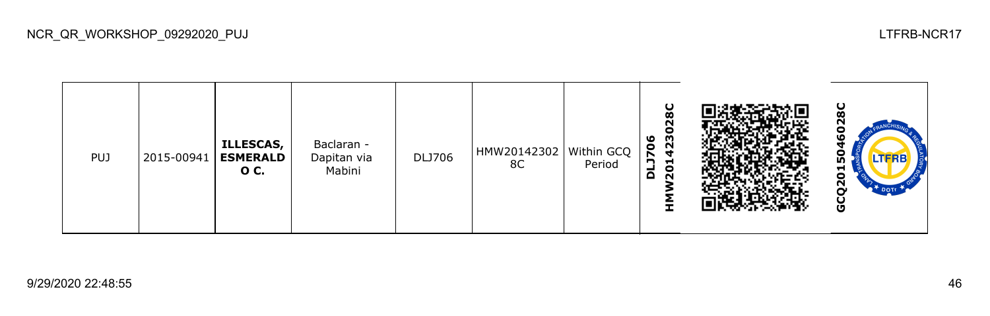| <b>PUJ</b> | 2015-00941 | <b>ILLESCAS,</b><br><b>ESMERALD</b><br>0 C. | Baclaran -<br>Dapitan via<br>Mabini | <b>DLJ706</b> | HMW20142302   Within GCQ  <br>8C | Period | U<br>œ<br>N<br>4230<br><b>J706</b><br>$\overline{0}$<br>$\Omega$<br>$\bar{\mathbf{N}}$ |  | ō<br>œ<br>о<br>ഥ<br><b>LTFRB</b><br>m<br>5<br>$\overline{a}$<br>DOTT<br>ن<br>ق |
|------------|------------|---------------------------------------------|-------------------------------------|---------------|----------------------------------|--------|----------------------------------------------------------------------------------------|--|--------------------------------------------------------------------------------|
|------------|------------|---------------------------------------------|-------------------------------------|---------------|----------------------------------|--------|----------------------------------------------------------------------------------------|--|--------------------------------------------------------------------------------|

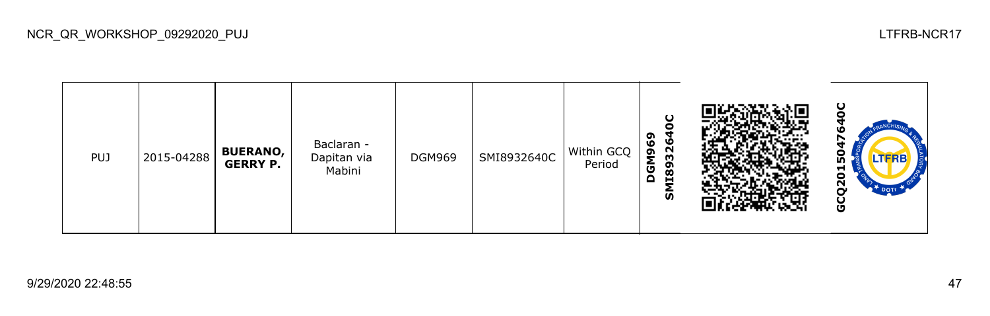| <b>PUJ</b> | 2015-04288 | <b>BUERANO,</b><br><b>GERRY P.</b> | Baclaran -<br>Dapitan via<br>Mabini | <b>DGM969</b> | SMI8932640C | Within GCQ<br>Period | ຶ<br><b>26</b><br>96<br>m<br>Σ<br>1189<br>ပ<br>$\Omega$<br>ັທ |  | ပ<br>о<br>LTFRB<br>n<br>−<br>o<br>N<br>O |
|------------|------------|------------------------------------|-------------------------------------|---------------|-------------|----------------------|---------------------------------------------------------------|--|------------------------------------------|
|------------|------------|------------------------------------|-------------------------------------|---------------|-------------|----------------------|---------------------------------------------------------------|--|------------------------------------------|

NCR\_QR\_WORKSHOP\_09292020\_PUJ LTFRB-NCR17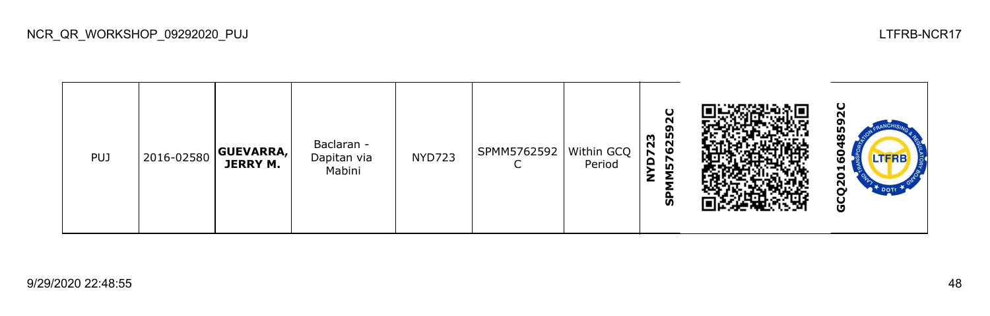

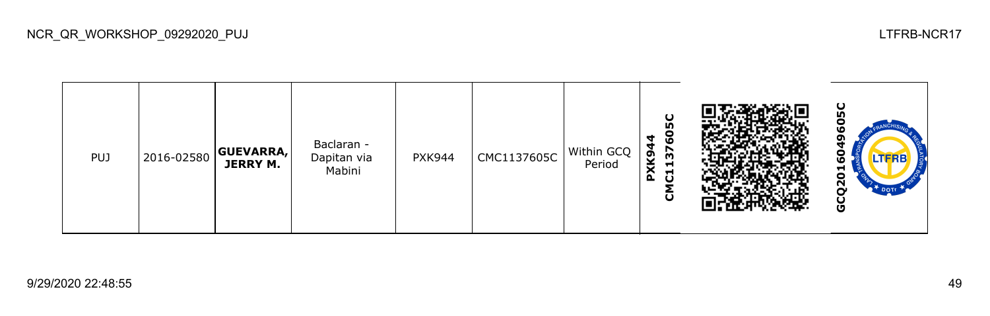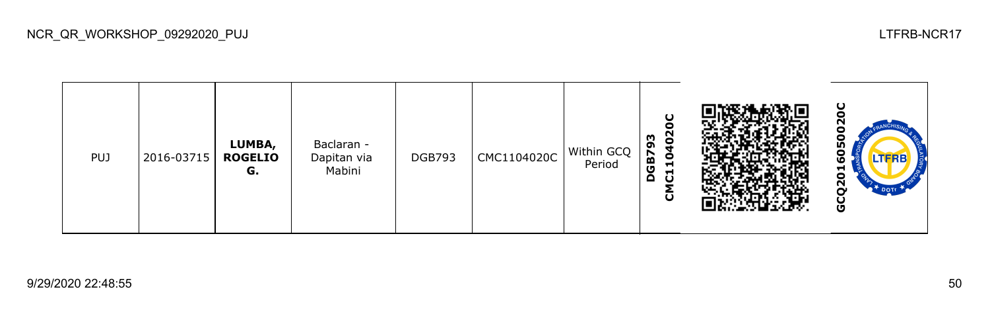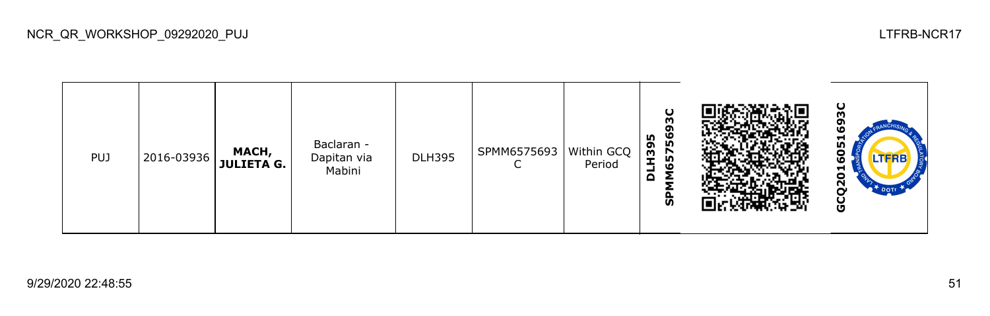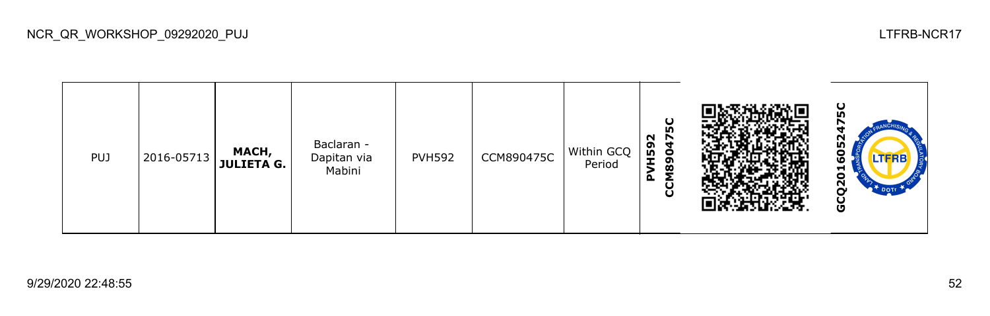

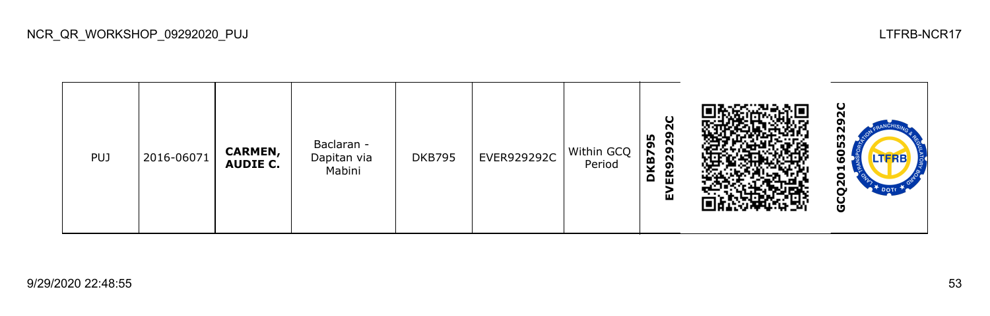

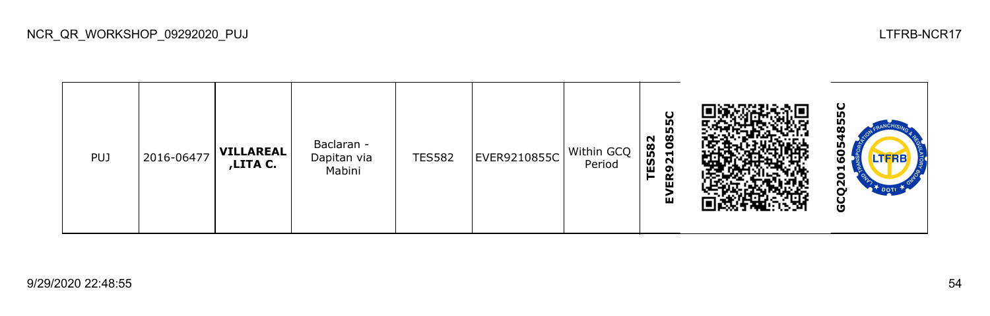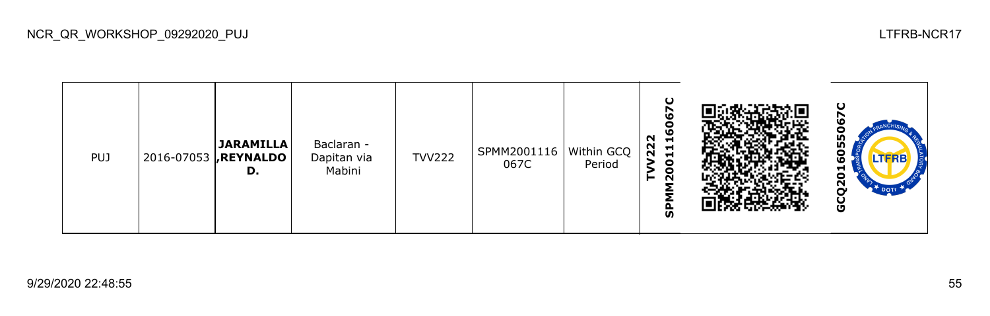

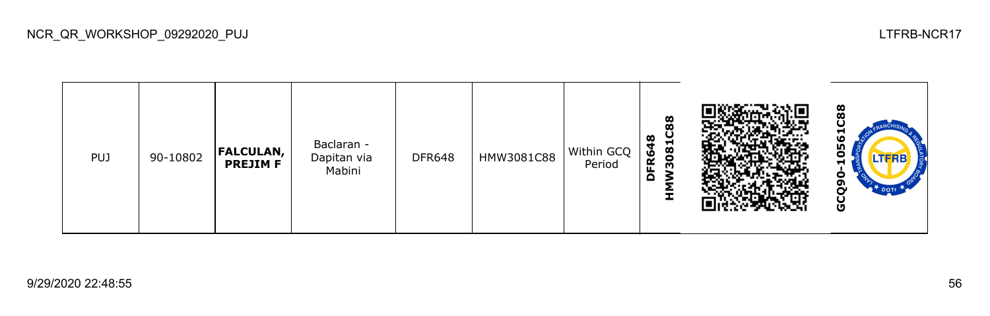

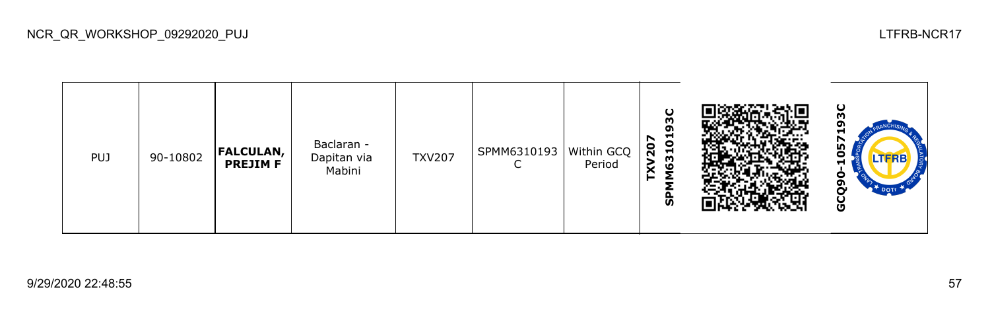

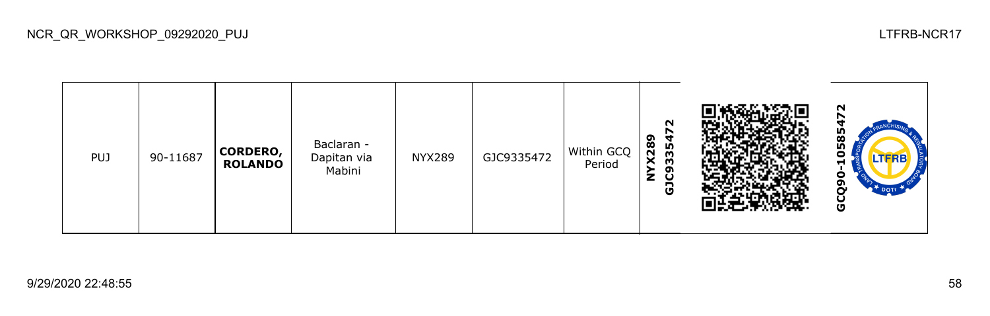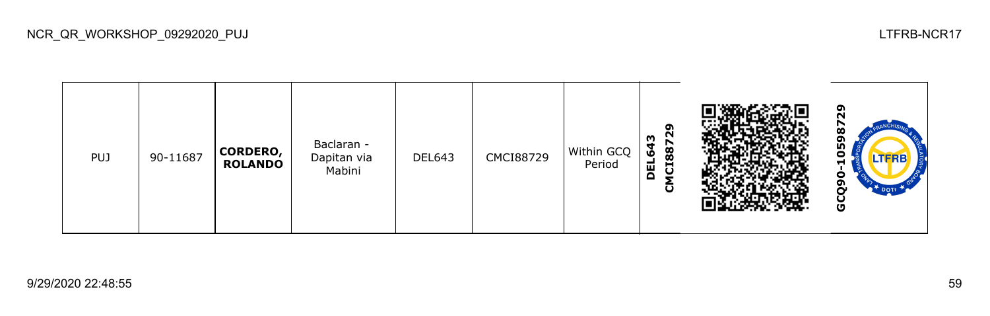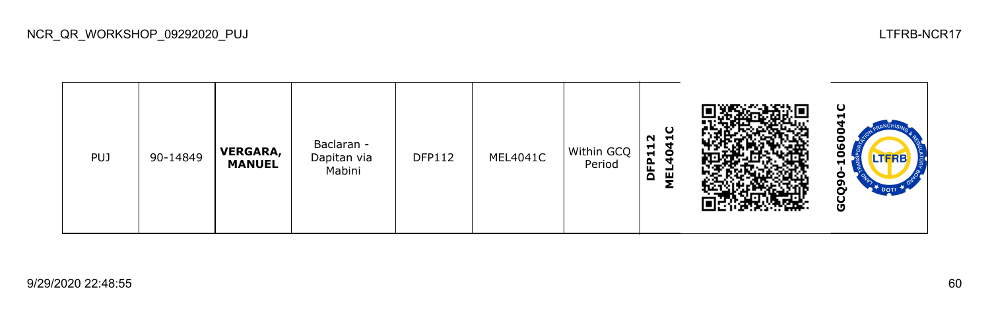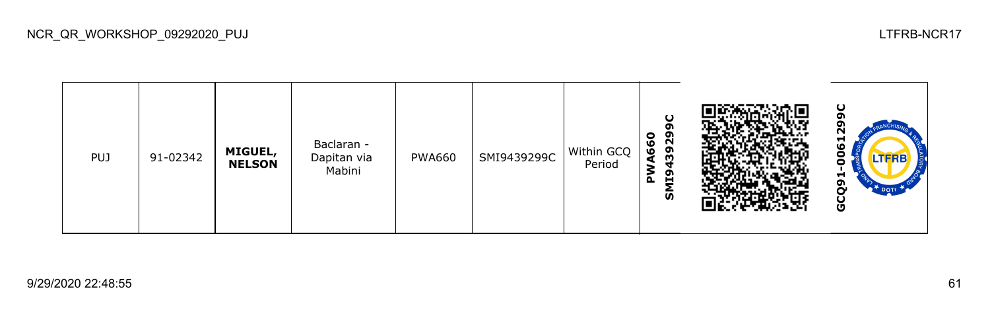

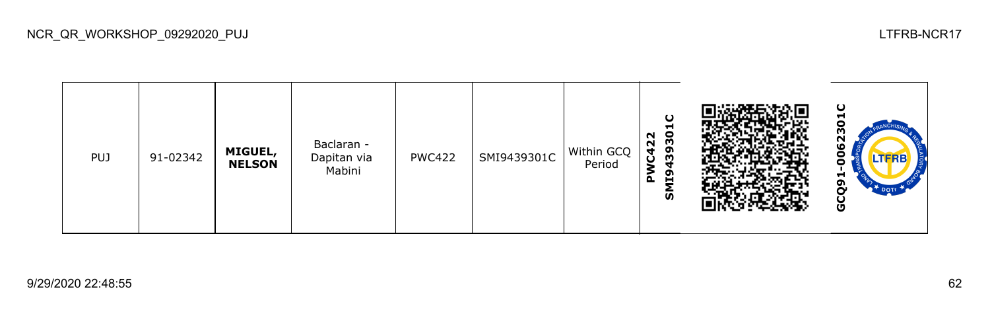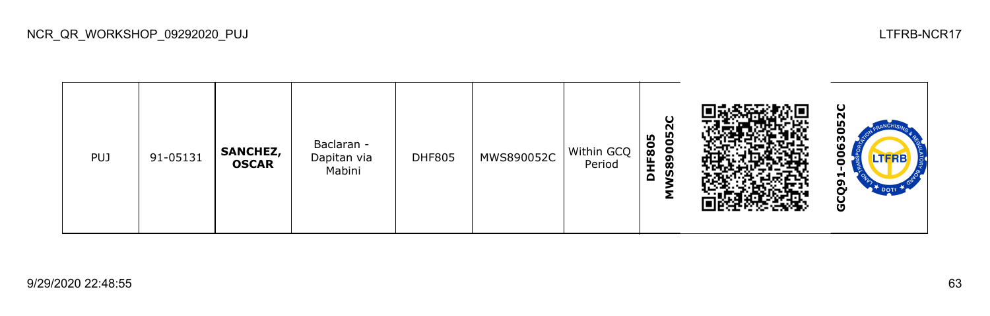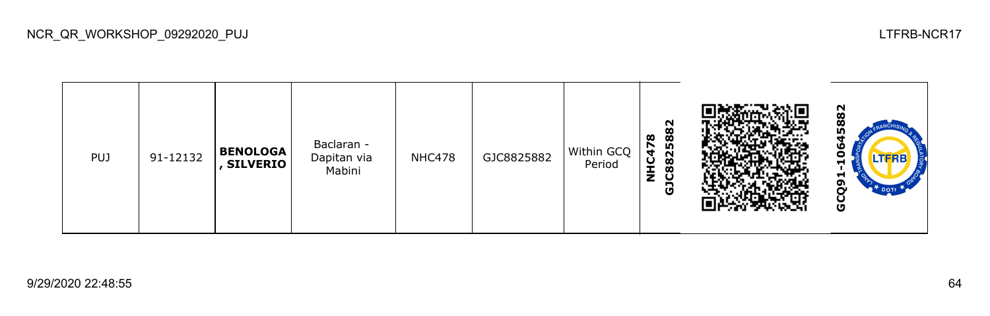

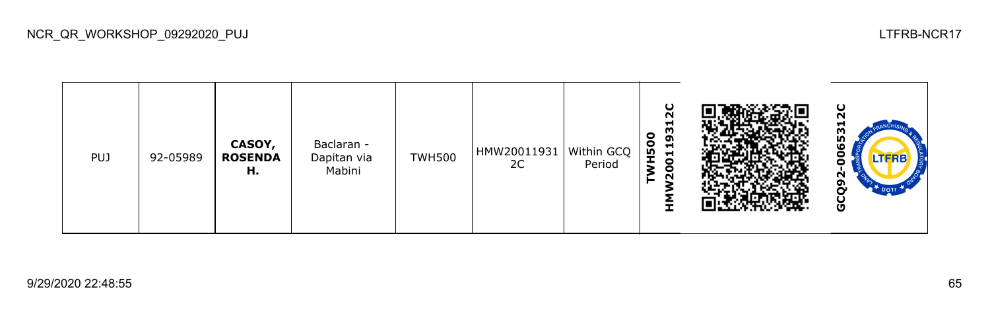| <b>PUJ</b> | 92-05989 | CASOY,<br><b>ROSENDA</b><br>н. | Baclaran -<br>Dapitan via<br>Mabini | <b>TWH500</b> | HMW20011931   Within GCQ  <br>2C | Period | ပ<br>N<br>−<br>93<br>$\bullet$<br>$\frac{1}{2}$<br>$\blacksquare$<br>$\overline{5}$<br>0<br>N |  | ပ<br>ี<br>π<br>653<br>N<br>oı<br>Ğ |
|------------|----------|--------------------------------|-------------------------------------|---------------|----------------------------------|--------|-----------------------------------------------------------------------------------------------|--|------------------------------------|
|------------|----------|--------------------------------|-------------------------------------|---------------|----------------------------------|--------|-----------------------------------------------------------------------------------------------|--|------------------------------------|

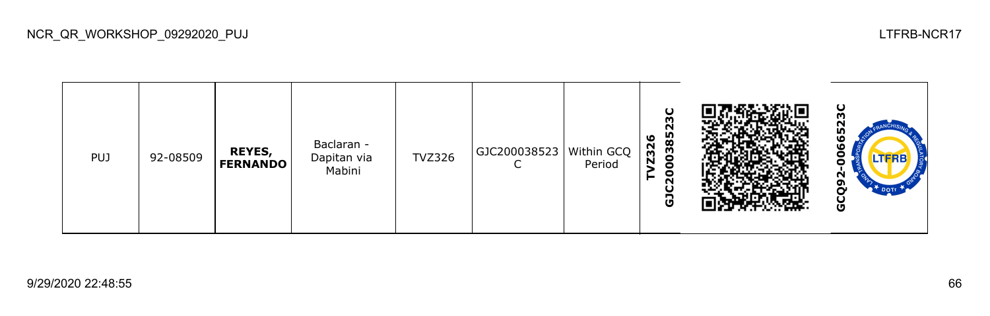

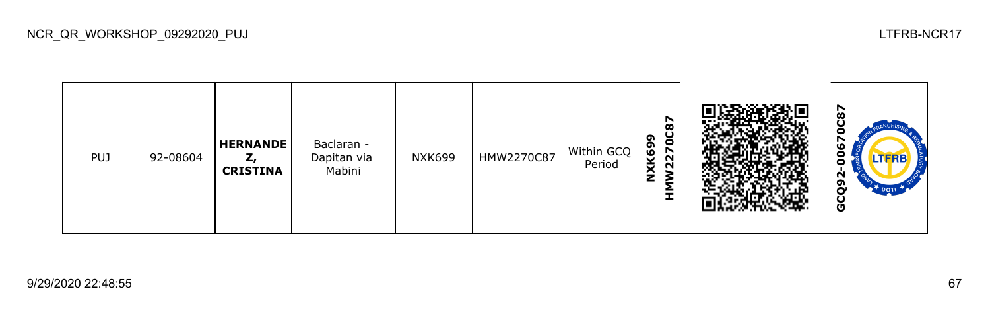

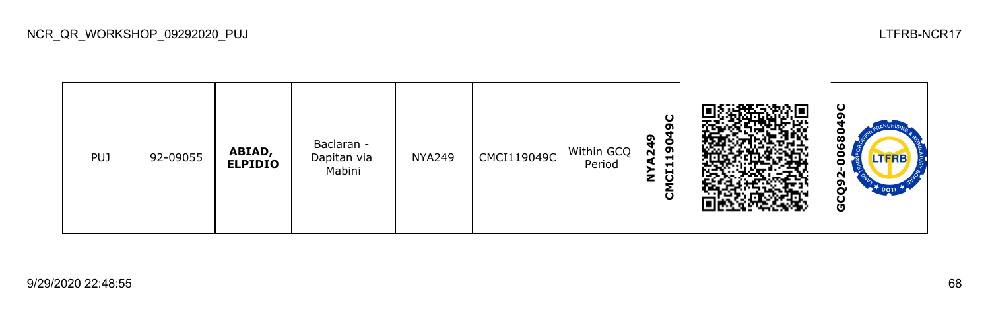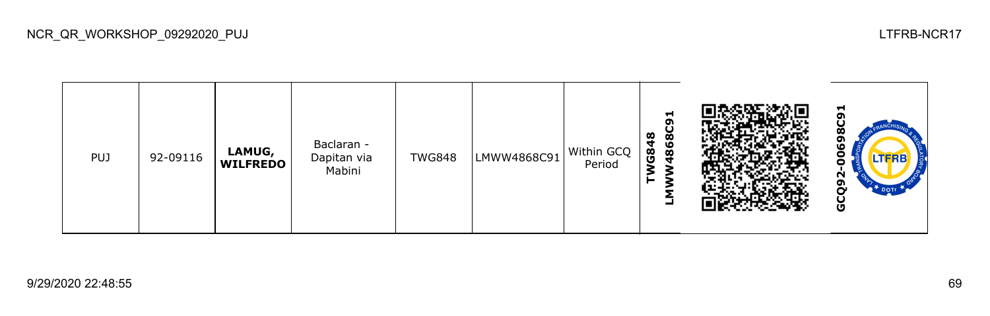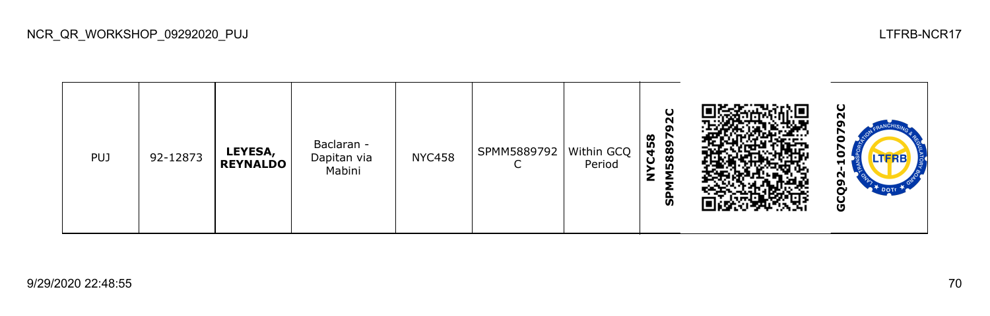| <b>PUJ</b> | 92-12873 | LEYESA,<br><b>REYNALDO</b> | Baclaran -<br>Dapitan via<br>Mabini | <b>NYC458</b> | SPMM5889792   Within GCQ | Period | $\mathbf C$<br>N<br>σ<br>$\infty$<br>58897<br>C45<br>z<br>╺<br>င္ဟ |  | ပ<br>N<br>LTERB<br>Н<br>И<br>ຫ<br>ט |
|------------|----------|----------------------------|-------------------------------------|---------------|--------------------------|--------|--------------------------------------------------------------------|--|-------------------------------------|
|------------|----------|----------------------------|-------------------------------------|---------------|--------------------------|--------|--------------------------------------------------------------------|--|-------------------------------------|

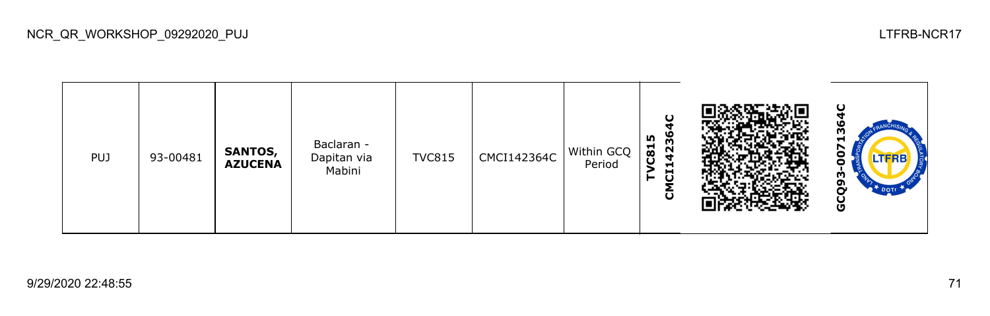

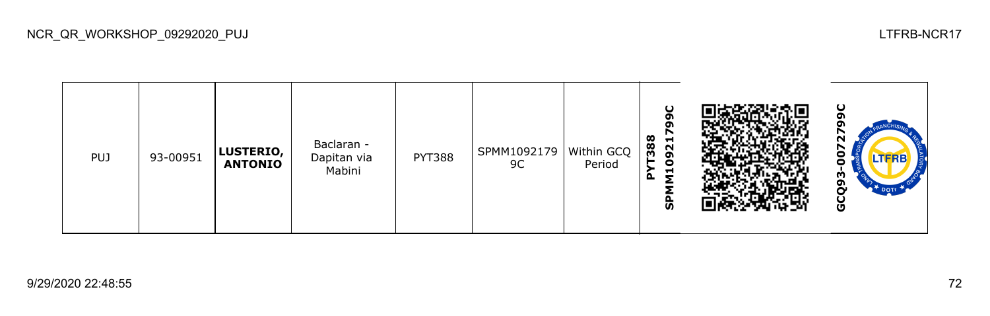

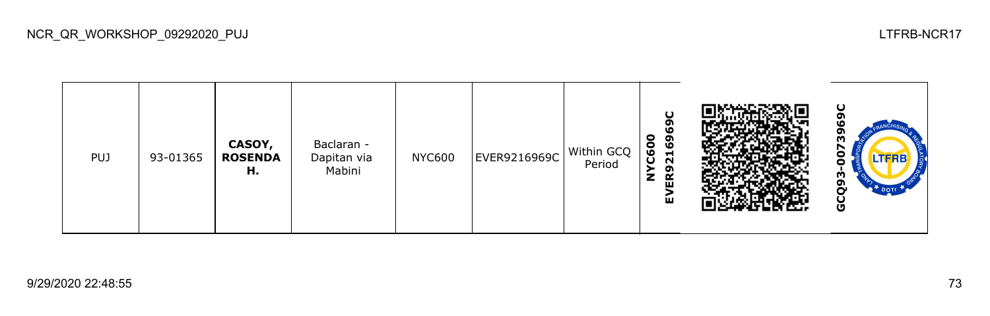

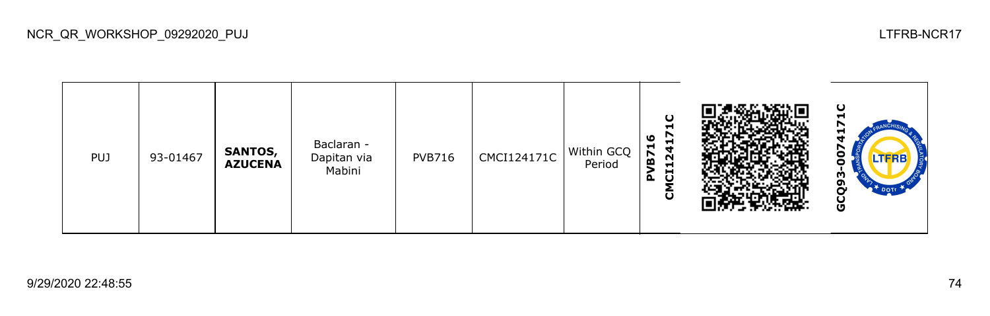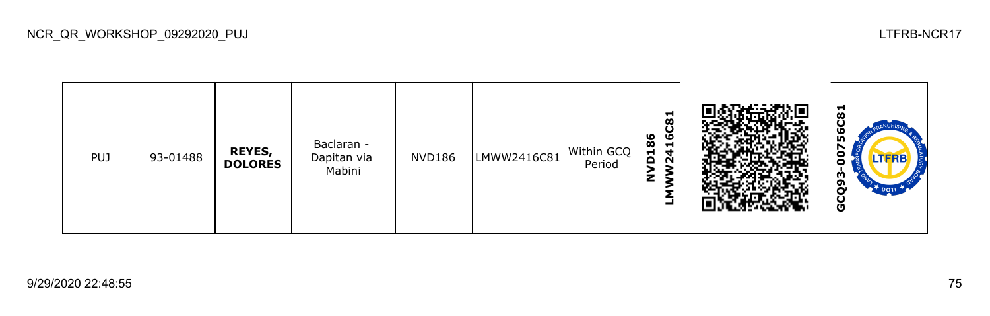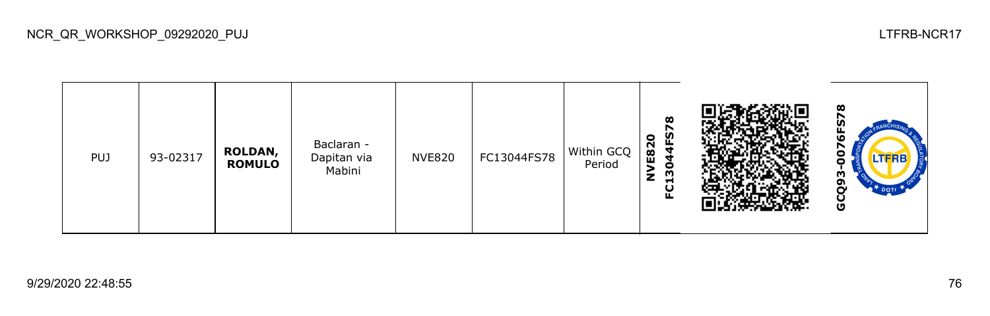

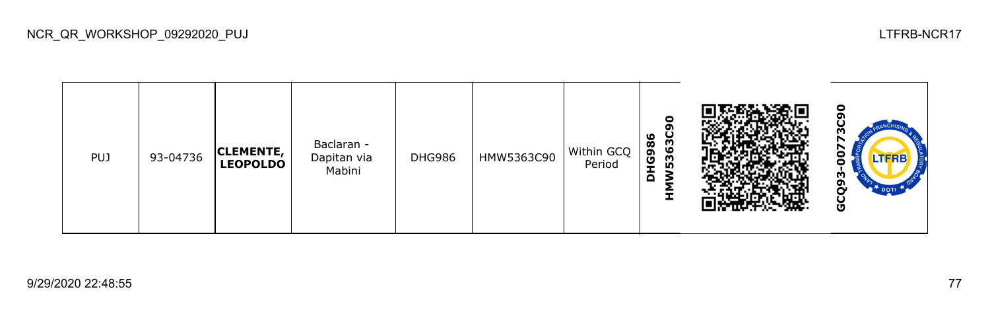

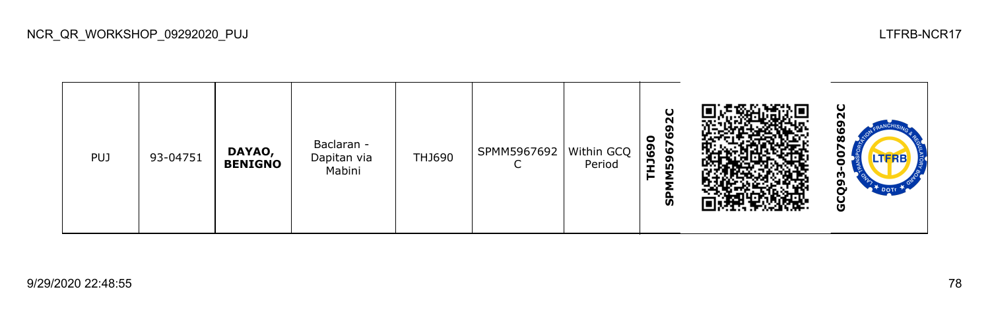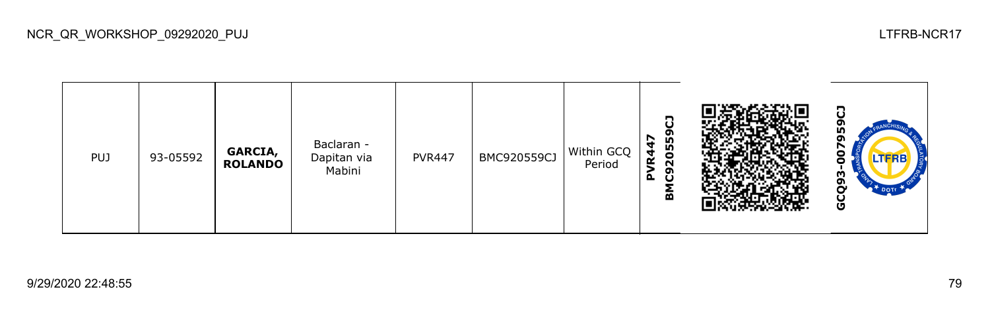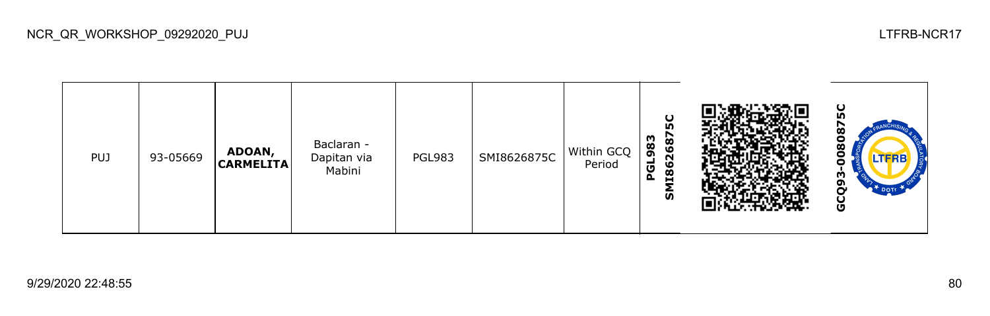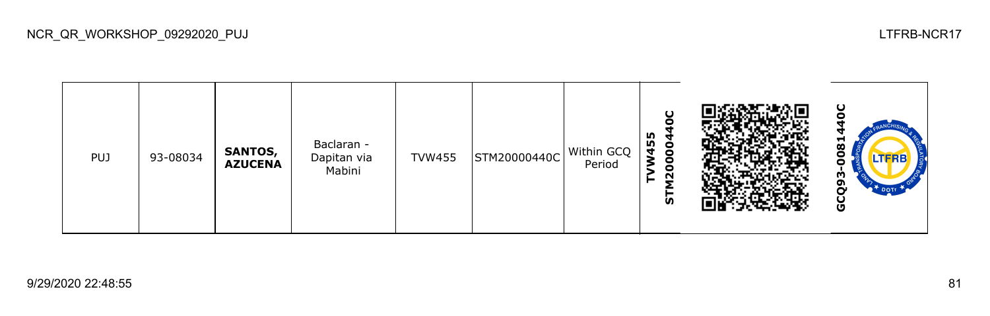

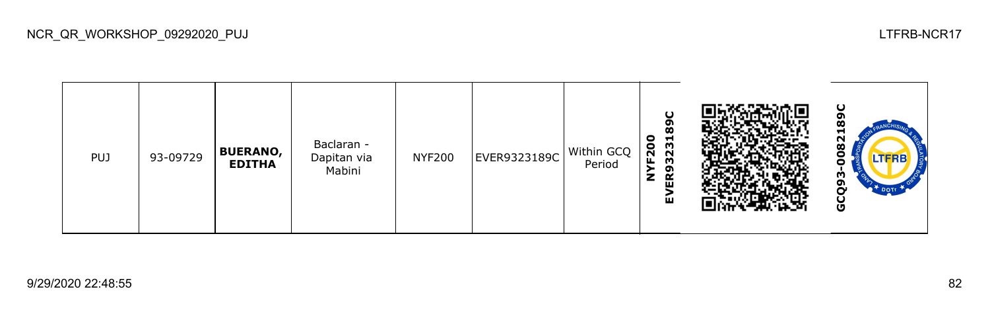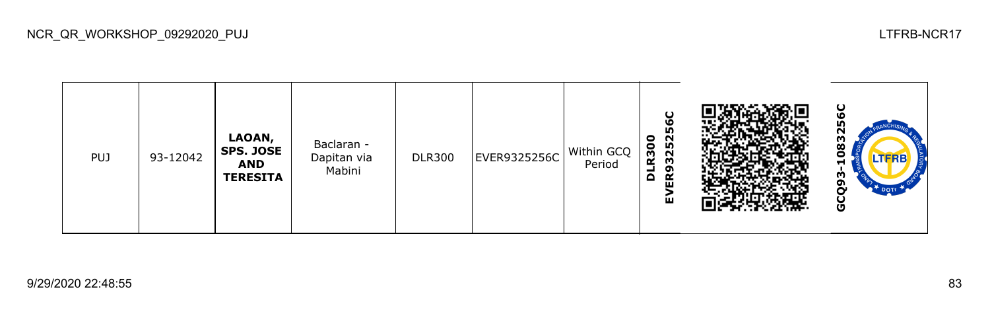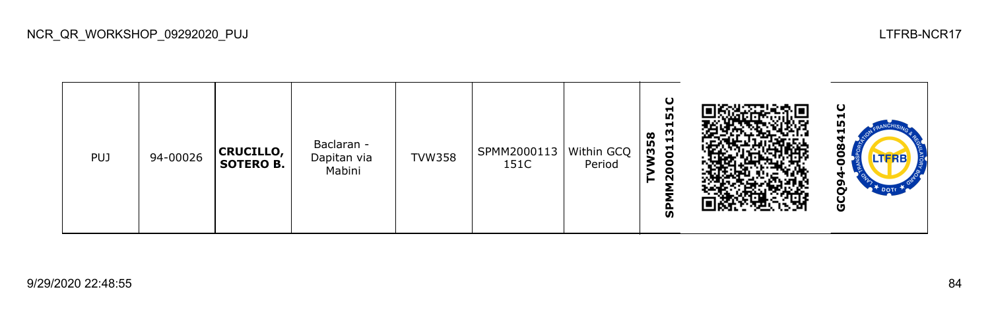| <b>PUJ</b> | 94-00026 | <b>CRUCILLO,</b><br><b>SOTERO B.</b> | Baclaran -<br>Dapitan via<br>Mabini | <b>TVW358</b> | SPMM2000113   Within GCQ  <br>151C | Period | ပ<br>Н<br><b>In</b><br>Н<br>m<br>$\infty$<br>Н<br><b>LO</b><br>$\overline{5}$<br>m<br>0<br>O<br>N<br>ჭ |  | υ<br><b>IU</b><br>ᆸ<br>ထ<br>.TFRB<br>ດາ<br>ט |
|------------|----------|--------------------------------------|-------------------------------------|---------------|------------------------------------|--------|--------------------------------------------------------------------------------------------------------|--|----------------------------------------------|
|------------|----------|--------------------------------------|-------------------------------------|---------------|------------------------------------|--------|--------------------------------------------------------------------------------------------------------|--|----------------------------------------------|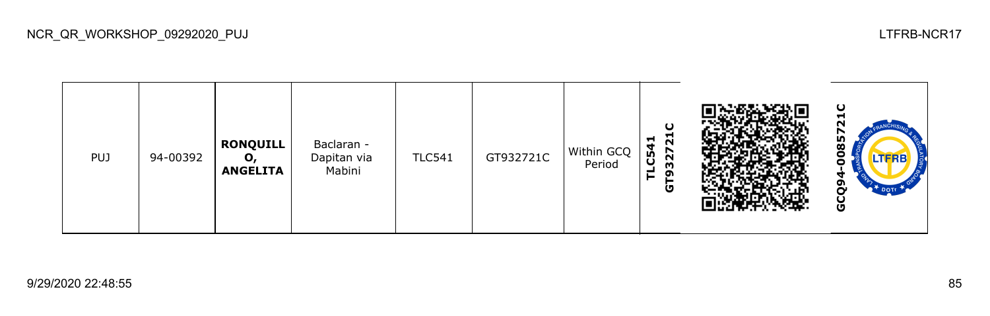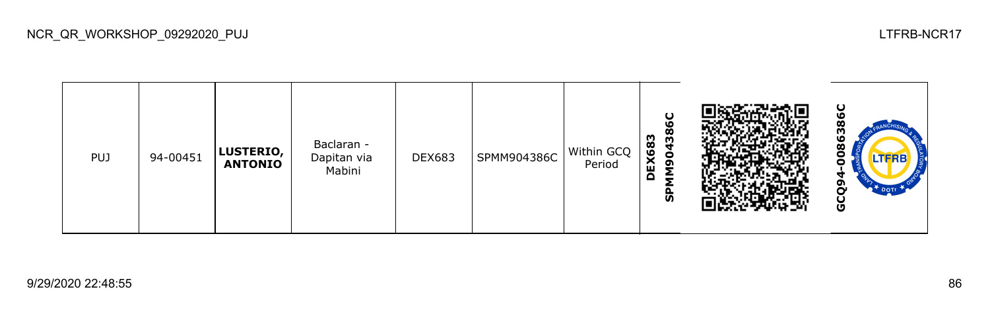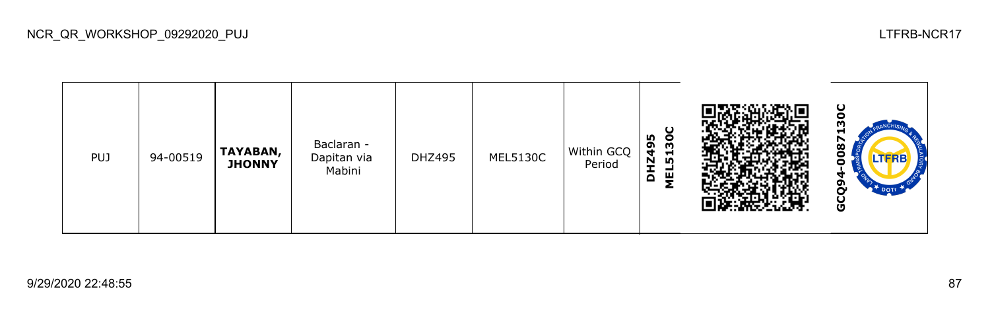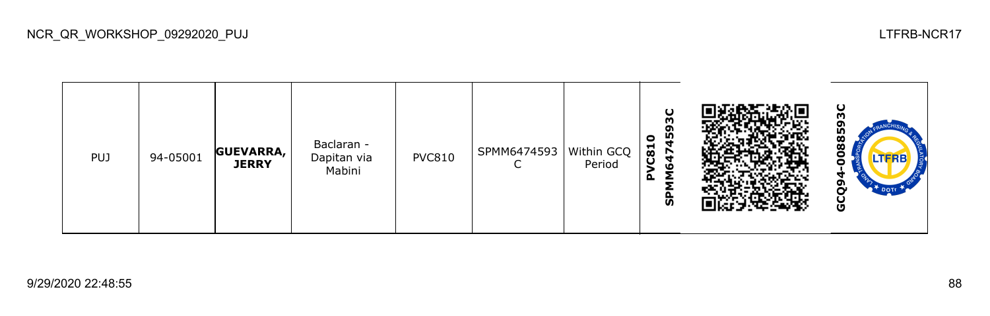

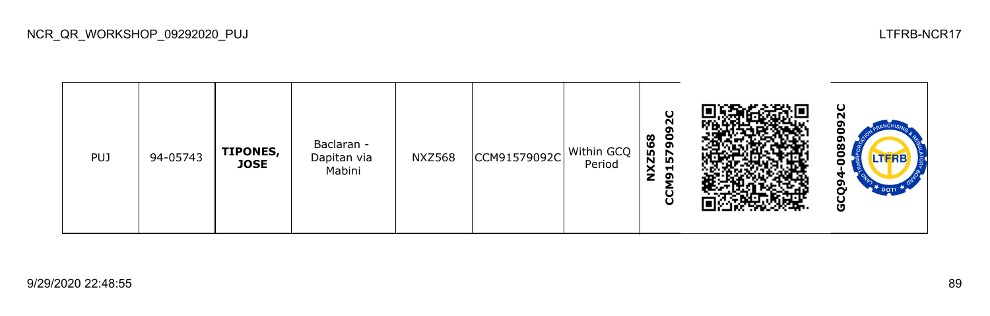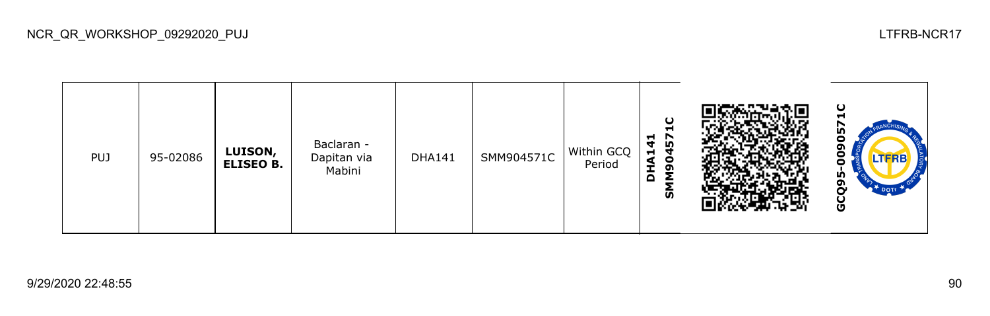

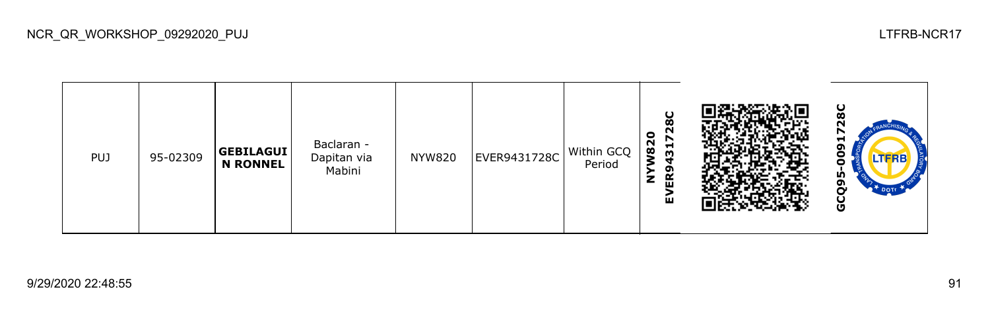

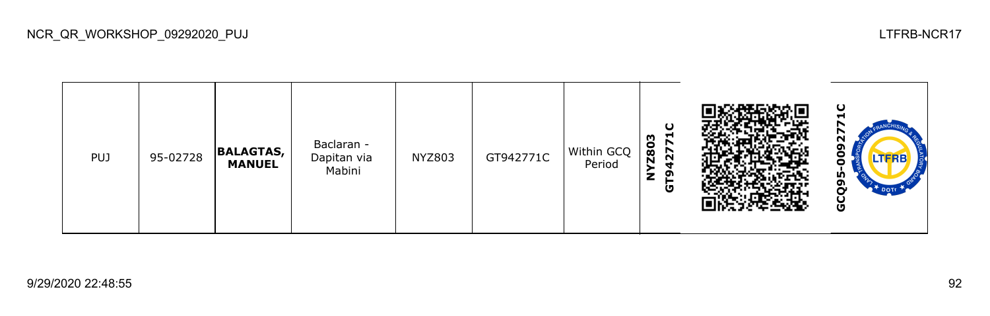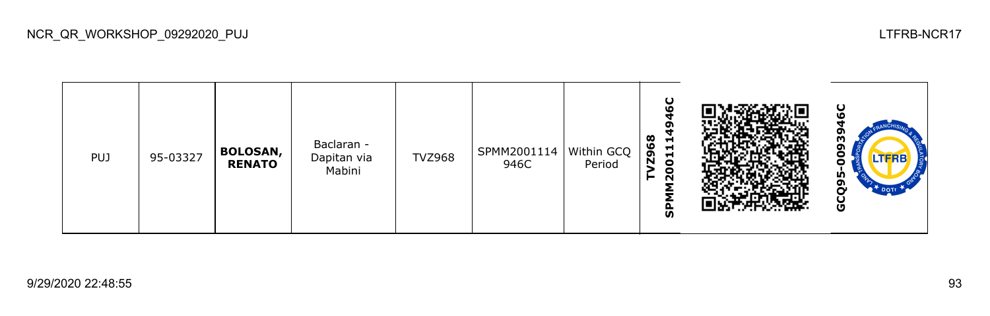

O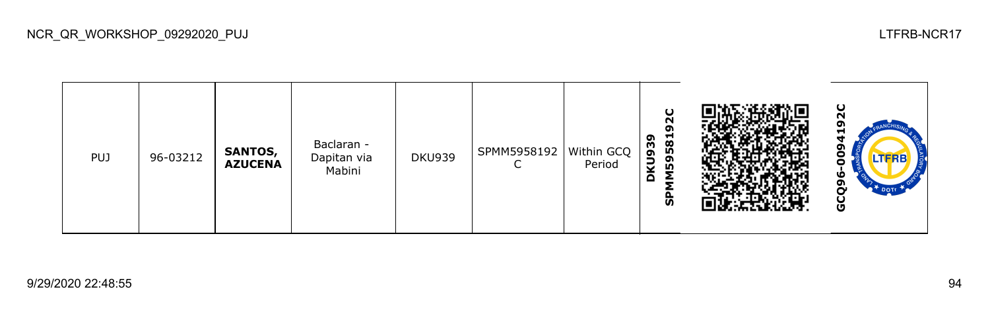

NCR\_QR\_WORKSHOP\_09292020\_PUJ LTFRB-NCR17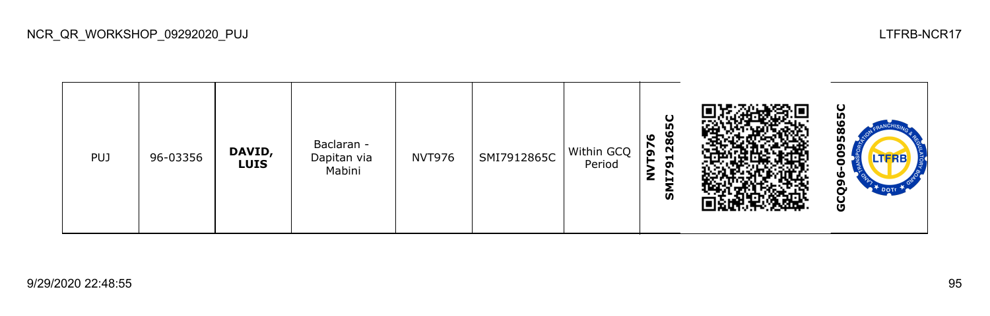

NCR\_QR\_WORKSHOP\_09292020\_PUJ LTFRB-NCR17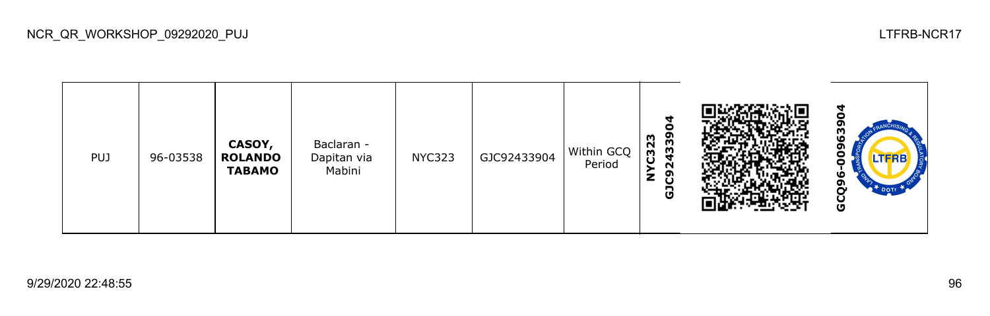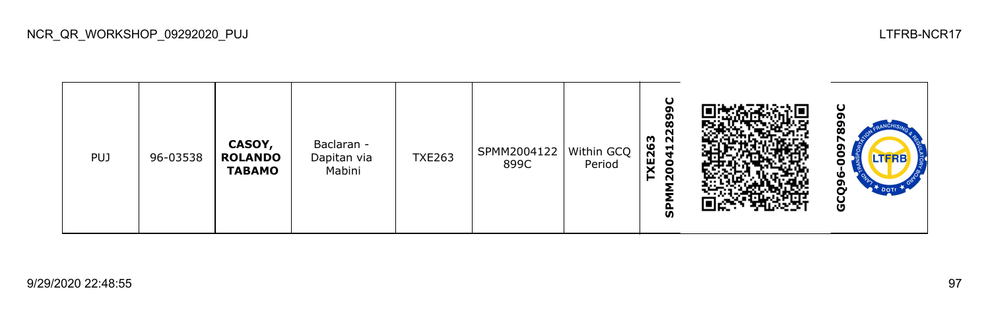| <b>PUJ</b> | 96-03538 | CASOY,<br><b>ROLANDO</b><br><b>TABAMO</b> | Baclaran -<br>Dapitan via<br>Mabini | <b>TXE263</b> | SPMM2004122<br>899C | Within GCQ  <br>Period | ပ<br>σ<br>œ<br>ົ<br><b>XE263</b><br>$\sim$<br>$\frac{1}{4}$<br>8<br>$\overline{\mathbf{N}}$<br>ທ |  | ပ<br>œ<br>TERE<br>ω<br>ຓ<br>~<br>Ū |
|------------|----------|-------------------------------------------|-------------------------------------|---------------|---------------------|------------------------|--------------------------------------------------------------------------------------------------|--|------------------------------------|
|------------|----------|-------------------------------------------|-------------------------------------|---------------|---------------------|------------------------|--------------------------------------------------------------------------------------------------|--|------------------------------------|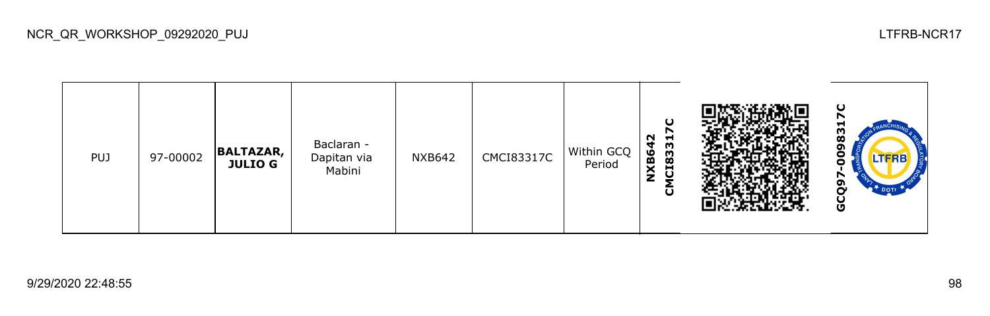

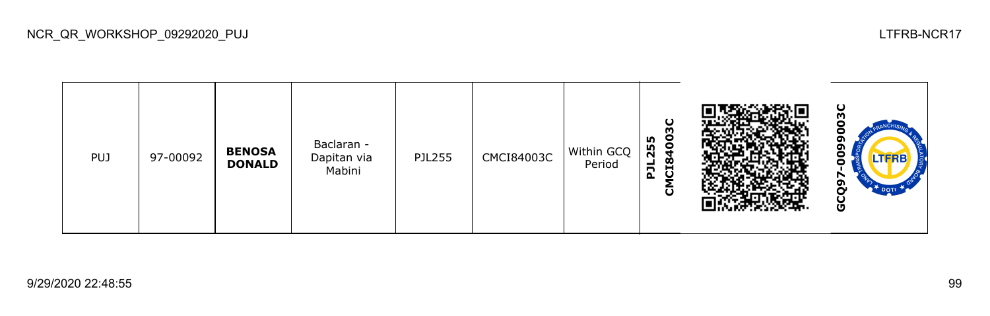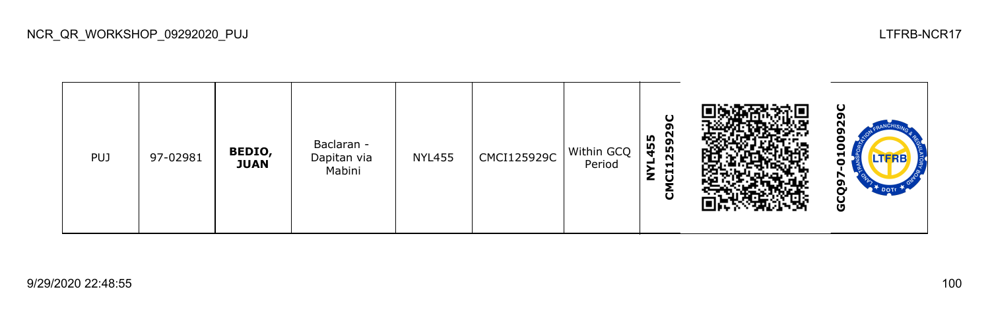

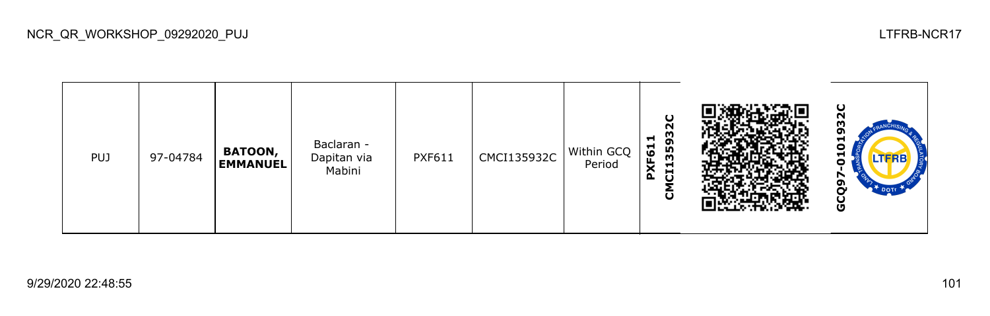

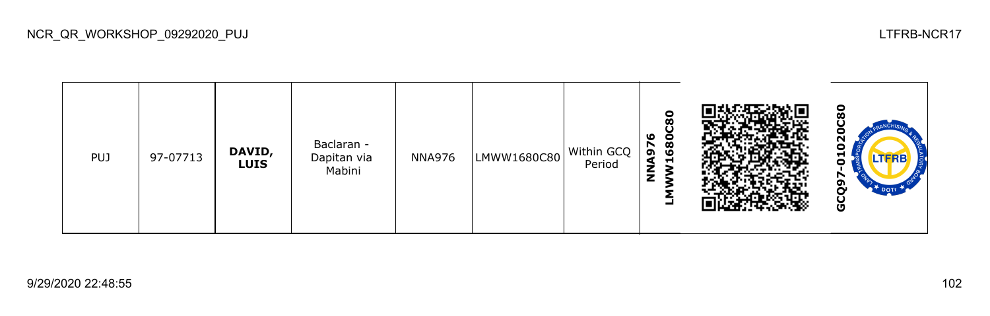

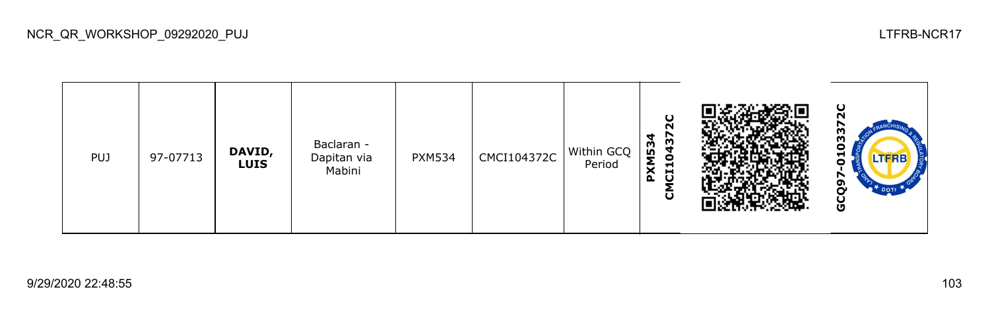

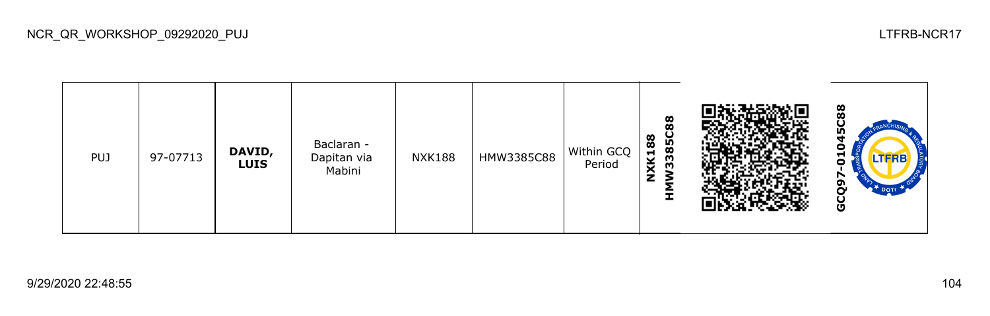

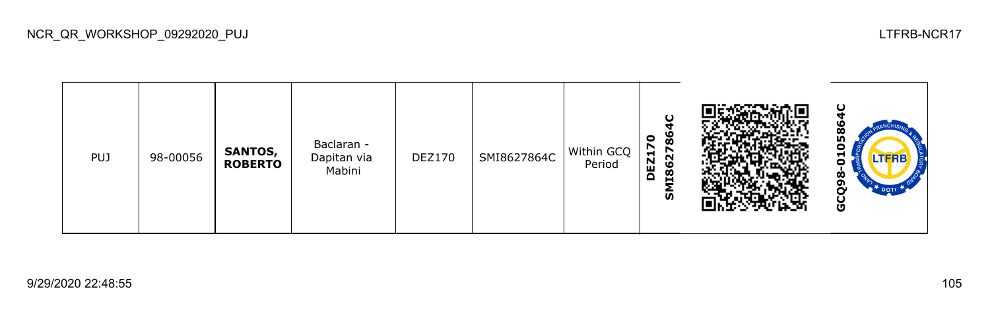

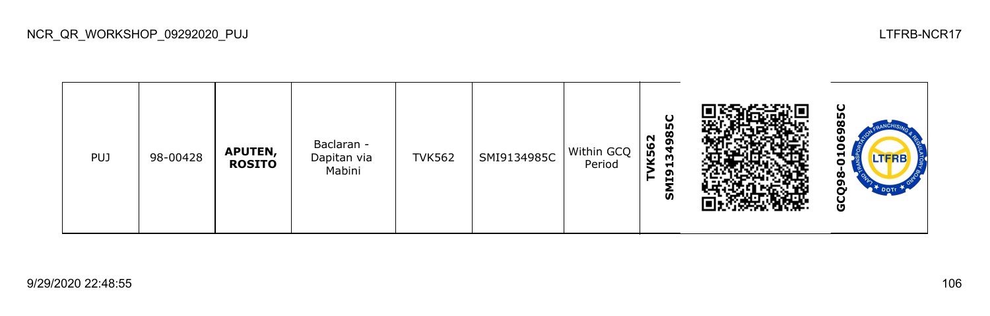

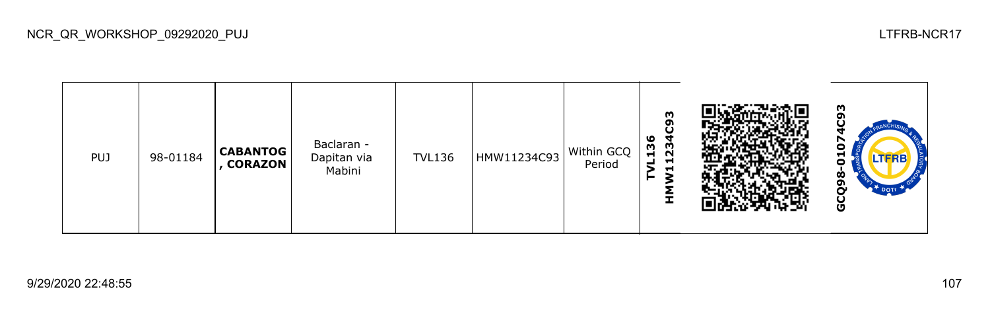

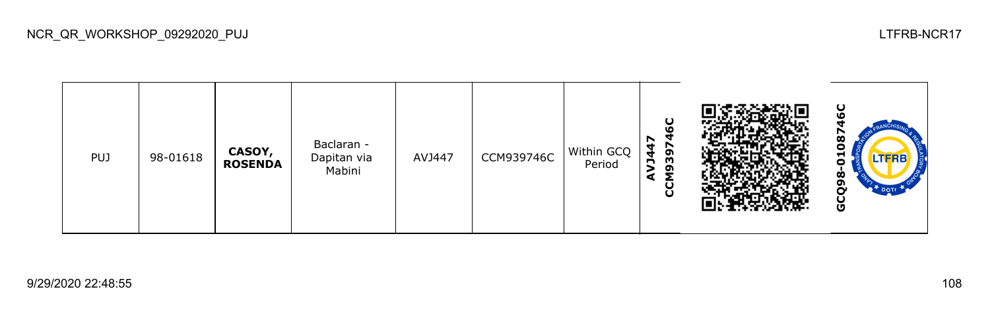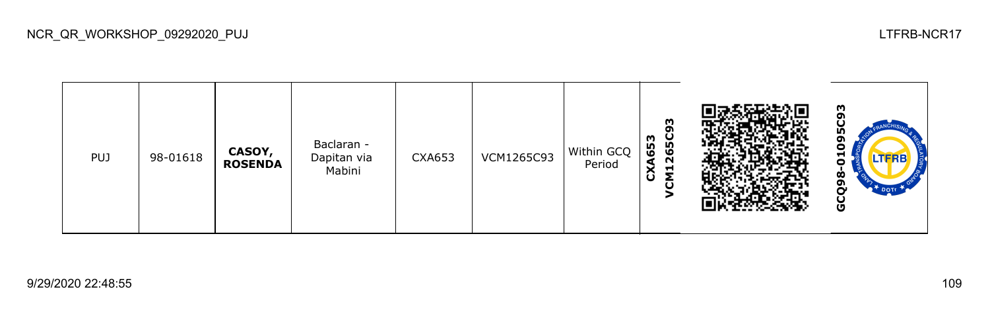

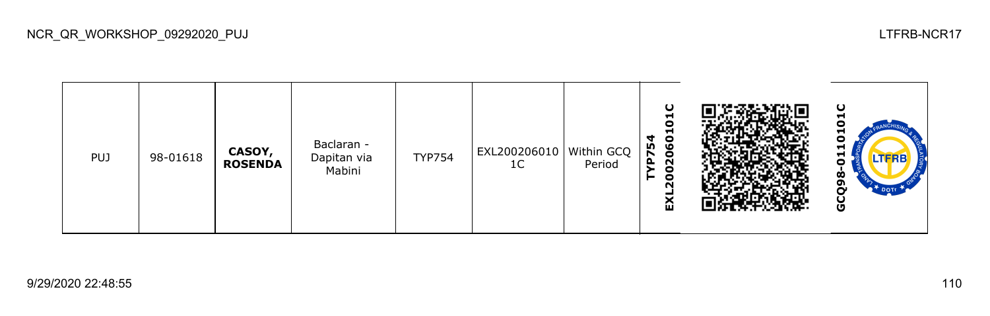

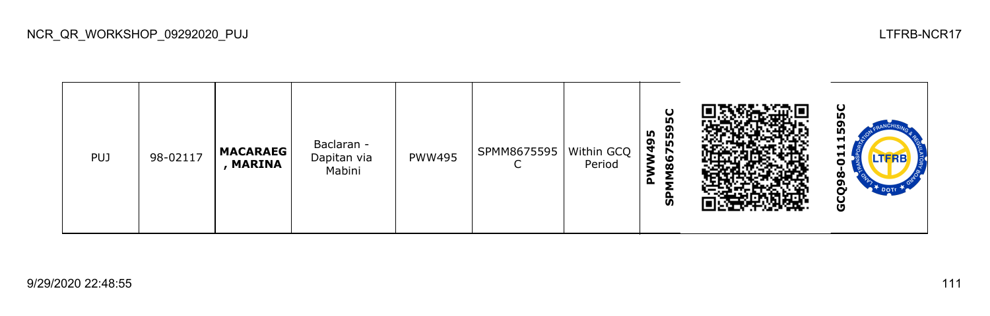| <b>PUJ</b> | 98-02117 | <b>MACARAEG</b><br>, MARINA | Baclaran -<br>Dapitan via<br>Mabini | <b>PWW495</b> | SPMM8675595 | Within GCQ<br>Period | ပ<br>۱ñ<br>559<br>m<br>മ<br>$\mathbf{\hat{z}}$<br>N<br>ဖ<br>ø<br>Σ<br>മ<br>ທ |  | ပ<br><b>IV</b><br>ნე<br>÷.<br>⊣<br>-<br>œ.<br>o<br>Ū |
|------------|----------|-----------------------------|-------------------------------------|---------------|-------------|----------------------|------------------------------------------------------------------------------|--|------------------------------------------------------|
|------------|----------|-----------------------------|-------------------------------------|---------------|-------------|----------------------|------------------------------------------------------------------------------|--|------------------------------------------------------|

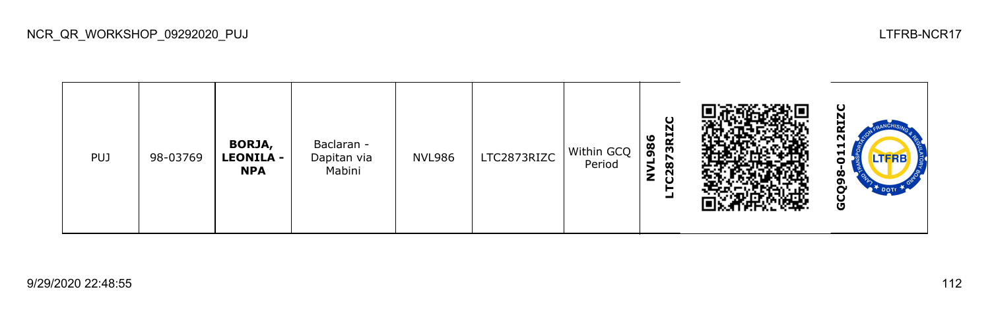| <b>PUJ</b> | 98-03769 | <b>BORJA,</b><br><b>LEONILA -</b><br><b>NPA</b> | Baclaran -<br>Dapitan via<br>Mabini | <b>NVL986</b> | LTC2873RIZC | Within GCQ<br>Period | U<br>N<br>3RI.<br>ဖ<br>$\overline{8}$<br>r<br>−<br>$\infty$<br>ã<br>z<br>┙ |  | ပ<br>N<br>-<br>œ<br>N<br>ы<br>-<br>$\overline{\phantom{a}}$<br>$\dot{\mathbf{z}}$<br>o<br>r<br>DOTT<br>U<br>ပ |
|------------|----------|-------------------------------------------------|-------------------------------------|---------------|-------------|----------------------|----------------------------------------------------------------------------|--|---------------------------------------------------------------------------------------------------------------|
|------------|----------|-------------------------------------------------|-------------------------------------|---------------|-------------|----------------------|----------------------------------------------------------------------------|--|---------------------------------------------------------------------------------------------------------------|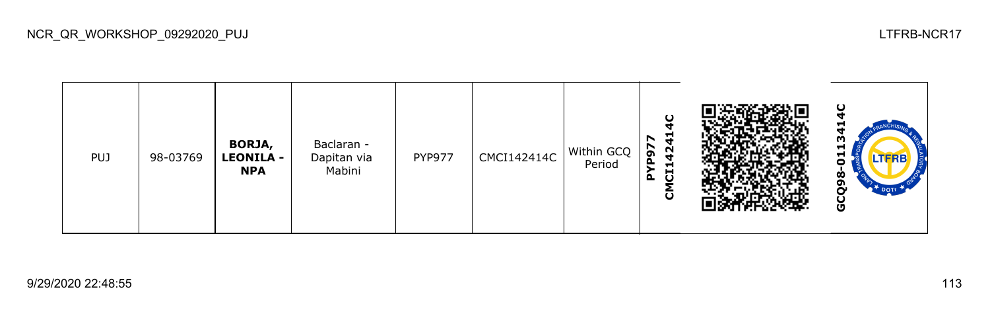

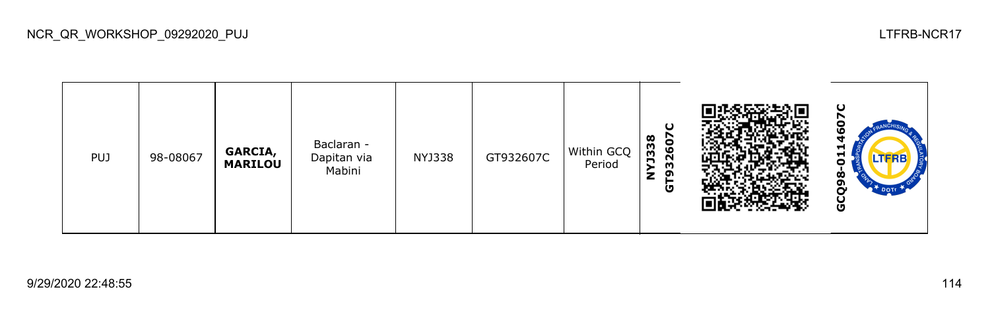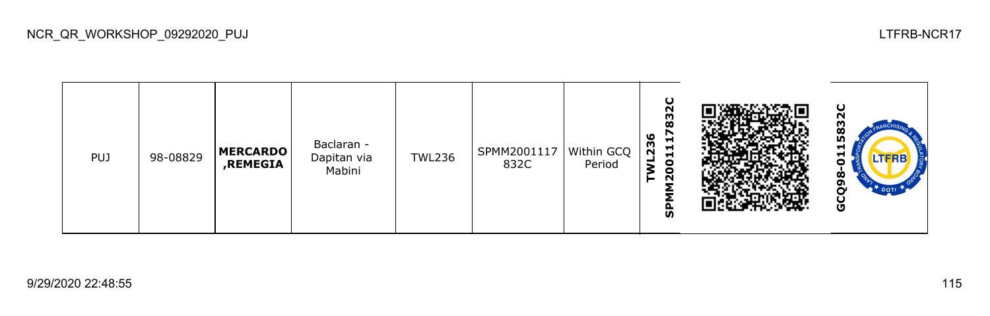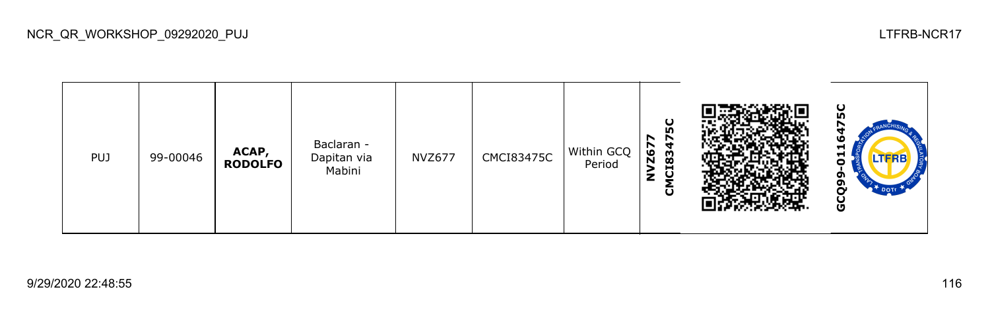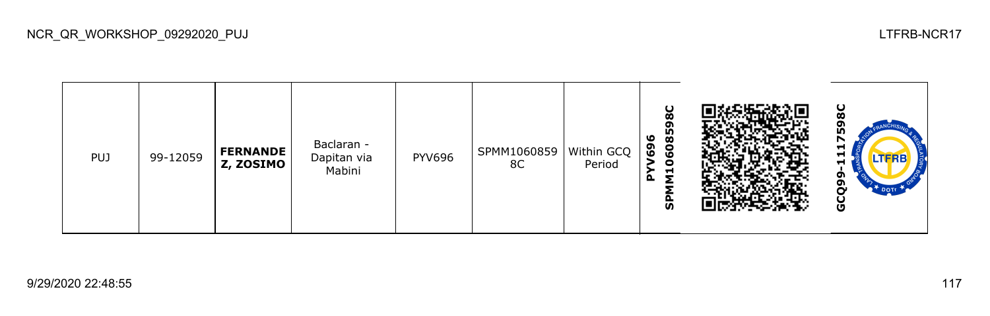| <b>PUJ</b> | 99-12059 | <b>FERNANDE</b><br>Z, ZOSIMO | Baclaran -<br>Dapitan via<br>Mabini | <b>PYV696</b> | SPMM1060859<br>8C | Within GCQ<br>Period | ပ<br>$\boldsymbol{\omega}$<br>ō<br>6085<br>٥<br>ຶ<br>O<br>0<br>$\vec{r}$<br>o.<br><b>S</b> |  | ပ<br>60<br>ın<br>↖<br>−<br>ᆏ<br>II-KB<br>Ħ<br>o<br>o<br>DOTE<br>ט |
|------------|----------|------------------------------|-------------------------------------|---------------|-------------------|----------------------|--------------------------------------------------------------------------------------------|--|-------------------------------------------------------------------|
|------------|----------|------------------------------|-------------------------------------|---------------|-------------------|----------------------|--------------------------------------------------------------------------------------------|--|-------------------------------------------------------------------|

NCR\_QR\_WORKSHOP\_09292020\_PUJ LTFRB-NCR17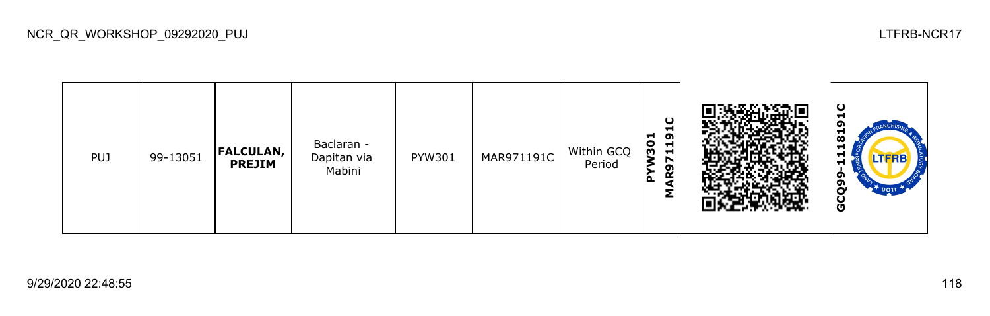